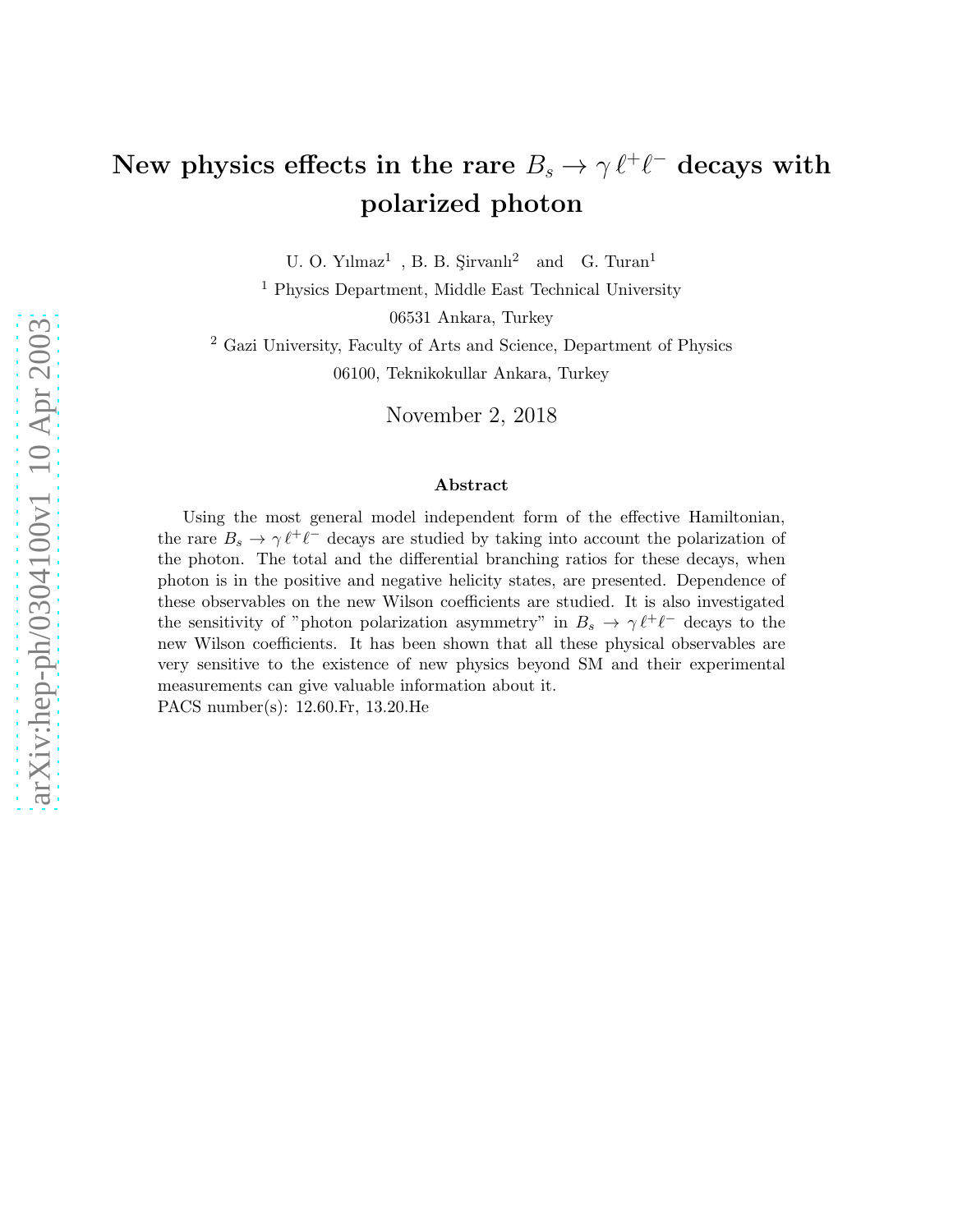## New physics effects in the rare  $B_s \to \gamma \ell^+ \ell^-$  decays with polarized photon

U. O. Yılmaz<sup>1</sup>, B. B. Şirvanlı<sup>2</sup> and G. Turan<sup>1</sup>

<sup>1</sup> Physics Department, Middle East Technical University

06531 Ankara, Turkey

<sup>2</sup> Gazi University, Faculty of Arts and Science, Department of Physics 06100, Teknikokullar Ankara, Turkey

November 2, 2018

#### Abstract

Using the most general model independent form of the effective Hamiltonian, the rare  $B_s \to \gamma \ell^+ \ell^-$  decays are studied by taking into account the polarization of the photon. The total and the differential branching ratios for these decays, when photon is in the positive and negative helicity states, are presented. Dependence of these observables on the new Wilson coefficients are studied. It is also investigated the sensitivity of "photon polarization asymmetry" in  $B_s \to \gamma \ell^+ \ell^-$  decays to the new Wilson coefficients. It has been shown that all these physical observables are very sensitive to the existence of new physics beyond SM and their experimental measurements can give valuable information about it. PACS number(s): 12.60.Fr, 13.20.He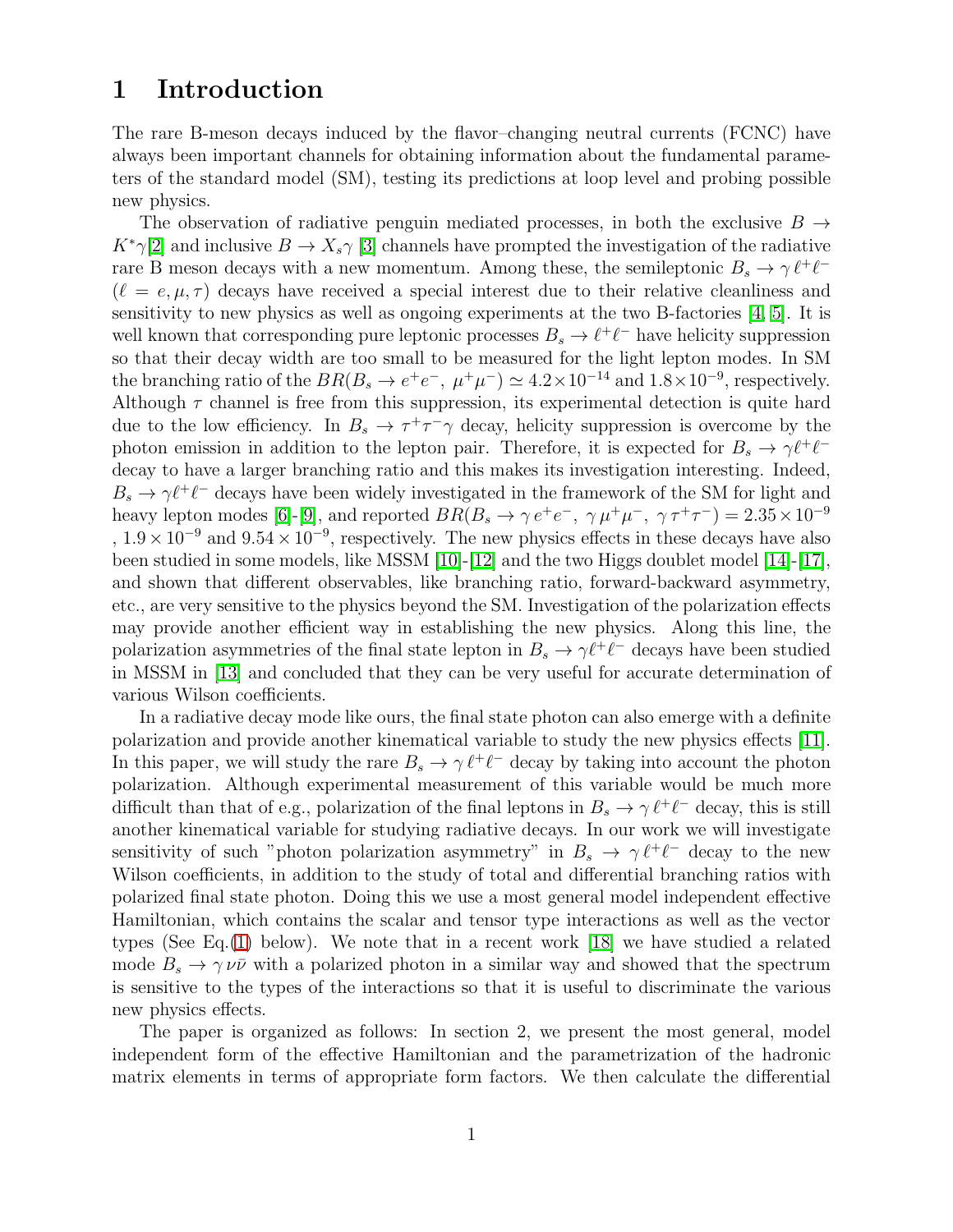### 1 Introduction

The rare B-meson decays induced by the flavor–changing neutral currents (FCNC) have always been important channels for obtaining information about the fundamental parameters of the standard model (SM), testing its predictions at loop level and probing possible new physics.

The observation of radiative penguin mediated processes, in both the exclusive  $B \to$  $K^*\gamma[2]$  $K^*\gamma[2]$  and inclusive  $B \to X_s\gamma[3]$  $B \to X_s\gamma[3]$  channels have prompted the investigation of the radiative rare B meson decays with a new momentum. Among these, the semileptonic  $B_s \to \gamma \ell^+ \ell^ (\ell = e, \mu, \tau)$  decays have received a special interest due to their relative cleanliness and sensitivity to new physics as well as ongoing experiments at the two B-factories  $[4, 5]$  $[4, 5]$ . It is well known that corresponding pure leptonic processes  $B_s \to \ell^+ \ell^-$  have helicity suppression so that their decay width are too small to be measured for the light lepton modes. In SM the branching ratio of the  $BR(B_s \to e^+e^-$ ,  $\mu^+\mu^-) \simeq 4.2 \times 10^{-14}$  and  $1.8 \times 10^{-9}$ , respectively. Although  $\tau$  channel is free from this suppression, its experimental detection is quite hard due to the low efficiency. In  $B_s \to \tau^+\tau^-\gamma$  decay, helicity suppression is overcome by the photon emission in addition to the lepton pair. Therefore, it is expected for  $B_s \to \gamma \ell^+ \ell^$ decay to have a larger branching ratio and this makes its investigation interesting. Indeed,  $B_s \to \gamma \ell^+ \ell^-$  decays have been widely investigated in the framework of the SM for light and heavy lepton modes [\[6\]](#page-10-4)-[\[9\]](#page-10-5), and reported  $BR(B_s \to \gamma e^+e^-$ ,  $\gamma \mu^+\mu^-$ ,  $\gamma \tau^+\tau^-$ ) =  $2.35 \times 10^{-9}$ ,  $1.9 \times 10^{-9}$  and  $9.54 \times 10^{-9}$ , respectively. The new physics effects in these decays have also been studied in some models, like MSSM [\[10\]](#page-10-6)-[\[12\]](#page-10-7) and the two Higgs doublet model [\[14\]](#page-10-8)-[\[17\]](#page-10-9), and shown that different observables, like branching ratio, forward-backward asymmetry, etc., are very sensitive to the physics beyond the SM. Investigation of the polarization effects may provide another efficient way in establishing the new physics. Along this line, the polarization asymmetries of the final state lepton in  $B_s \to \gamma \ell^+ \ell^-$  decays have been studied in MSSM in [\[13\]](#page-10-10) and concluded that they can be very useful for accurate determination of various Wilson coefficients.

In a radiative decay mode like ours, the final state photon can also emerge with a definite polarization and provide another kinematical variable to study the new physics effects [\[11\]](#page-10-11). In this paper, we will study the rare  $B_s \to \gamma \ell^+ \ell^-$  decay by taking into account the photon polarization. Although experimental measurement of this variable would be much more difficult than that of e.g., polarization of the final leptons in  $B_s \to \gamma \ell^+ \ell^-$  decay, this is still another kinematical variable for studying radiative decays. In our work we will investigate sensitivity of such "photon polarization asymmetry" in  $B_s \to \gamma \ell^+ \ell^-$  decay to the new Wilson coefficients, in addition to the study of total and differential branching ratios with polarized final state photon. Doing this we use a most general model independent effective Hamiltonian, which contains the scalar and tensor type interactions as well as the vector types (See Eq.[\(1\)](#page-2-0) below). We note that in a recent work [\[18\]](#page-10-12) we have studied a related mode  $B_s \to \gamma \nu \bar{\nu}$  with a polarized photon in a similar way and showed that the spectrum is sensitive to the types of the interactions so that it is useful to discriminate the various new physics effects.

The paper is organized as follows: In section 2, we present the most general, model independent form of the effective Hamiltonian and the parametrization of the hadronic matrix elements in terms of appropriate form factors. We then calculate the differential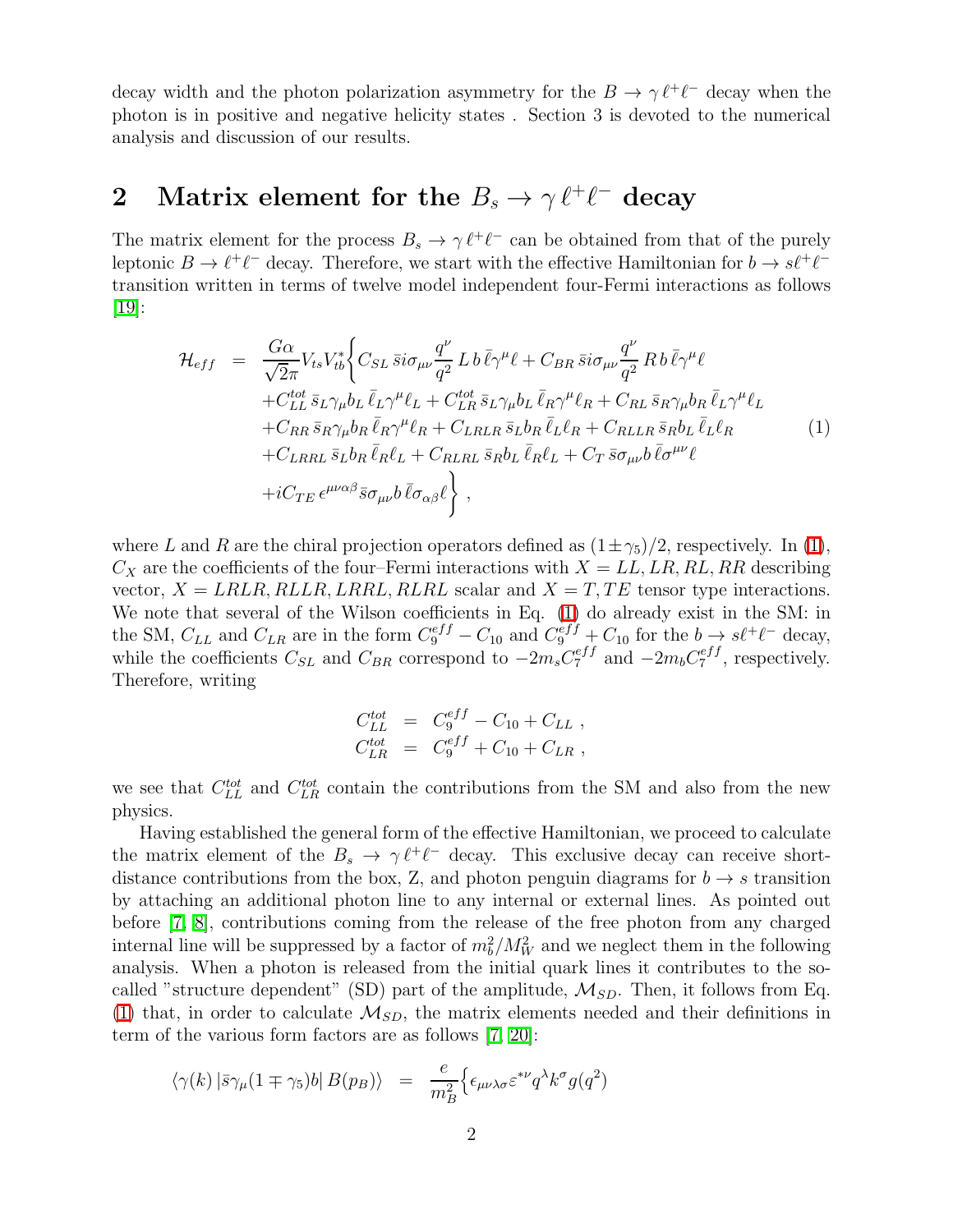decay width and the photon polarization asymmetry for the  $B \to \gamma \ell^+ \ell^-$  decay when the photon is in positive and negative helicity states . Section 3 is devoted to the numerical analysis and discussion of our results.

# 2 Matrix element for the  $B_s \to \gamma \ell^+ \ell^-$  decay

The matrix element for the process  $B_s \to \gamma \ell^+ \ell^-$  can be obtained from that of the purely leptonic  $B \to \ell^+ \ell^-$  decay. Therefore, we start with the effective Hamiltonian for  $b \to s\ell^+ \ell^$ transition written in terms of twelve model independent four-Fermi interactions as follows [\[19\]](#page-10-13):

<span id="page-2-0"></span>
$$
\mathcal{H}_{eff} = \frac{G\alpha}{\sqrt{2}\pi} V_{ts} V_{tb}^* \Biggl\{ C_{SL} \bar{s} i \sigma_{\mu\nu} \frac{q^{\nu}}{q^2} L b \bar{\ell} \gamma^{\mu} \ell + C_{BR} \bar{s} i \sigma_{\mu\nu} \frac{q^{\nu}}{q^2} R b \bar{\ell} \gamma^{\mu} \ell \n+ C_{LL}^{tot} \bar{s}_{L} \gamma_{\mu} b_{L} \bar{\ell}_{L} \gamma^{\mu} \ell_{L} + C_{LR}^{tot} \bar{s}_{L} \gamma_{\mu} b_{L} \bar{\ell}_{R} \gamma^{\mu} \ell_{R} + C_{RL} \bar{s}_{R} \gamma_{\mu} b_{R} \bar{\ell}_{L} \gamma^{\mu} \ell_{L} \n+ C_{RR} \bar{s}_{R} \gamma_{\mu} b_{R} \bar{\ell}_{R} \gamma^{\mu} \ell_{R} + C_{LRLR} \bar{s}_{L} b_{R} \bar{\ell}_{L} \ell_{R} + C_{RLLR} \bar{s}_{R} b_{L} \bar{\ell}_{L} \ell_{R} \n+ C_{LRRL} \bar{s}_{L} b_{R} \bar{\ell}_{R} \ell_{L} + C_{RLRL} \bar{s}_{R} b_{L} \bar{\ell}_{R} \ell_{L} + C_{T} \bar{s} \sigma_{\mu\nu} b \bar{\ell} \sigma^{\mu\nu} \ell \n+ i C_{TE} \epsilon^{\mu\nu\alpha\beta} \bar{s} \sigma_{\mu\nu} b \bar{\ell} \sigma_{\alpha\beta} \ell \Biggr\} ,
$$
\n(1)

where L and R are the chiral projection operators defined as  $(1\pm\gamma_5)/2$ , respectively. In [\(1\)](#page-2-0),  $C_X$  are the coefficients of the four–Fermi interactions with  $X = LL, LR, RL, RR$  describing vector,  $X = LRLR, RLLR, LRRL, RLRL$  scalar and  $X = T, TE$  tensor type interactions. We note that several of the Wilson coefficients in Eq. [\(1\)](#page-2-0) do already exist in the SM: in the SM,  $C_{LL}$  and  $C_{LR}$  are in the form  $C_9^{eff} - C_{10}$  and  $C_9^{eff} + C_{10}$  for the  $b \rightarrow s\ell^+\ell^-$  decay, while the coefficients  $C_{SL}$  and  $C_{BR}$  correspond to  $-2m_sC_7^{eff}$  and  $-2m_bC_7^{eff}$  $z^{e_{JJ}}$ , respectively. Therefore, writing

$$
C_{LL}^{tot} = C_9^{eff} - C_{10} + C_{LL} ,
$$
  
\n
$$
C_{LR}^{tot} = C_9^{eff} + C_{10} + C_{LR} ,
$$

we see that  $C_{LL}^{tot}$  and  $C_{LR}^{tot}$  contain the contributions from the SM and also from the new physics.

Having established the general form of the effective Hamiltonian, we proceed to calculate the matrix element of the  $B_s \to \gamma \ell^+ \ell^-$  decay. This exclusive decay can receive shortdistance contributions from the box, Z, and photon penguin diagrams for  $b \rightarrow s$  transition by attaching an additional photon line to any internal or external lines. As pointed out before [\[7,](#page-10-14) [8\]](#page-10-15), contributions coming from the release of the free photon from any charged internal line will be suppressed by a factor of  $m_b^2/M_W^2$  and we neglect them in the following analysis. When a photon is released from the initial quark lines it contributes to the socalled "structure dependent" (SD) part of the amplitude,  $\mathcal{M}_{SD}$ . Then, it follows from Eq. [\(1\)](#page-2-0) that, in order to calculate  $\mathcal{M}_{SD}$ , the matrix elements needed and their definitions in term of the various form factors are as follows [\[7,](#page-10-14) [20\]](#page-10-16):

<span id="page-2-1"></span>
$$
\langle \gamma(k) | \bar{s} \gamma_{\mu} (1 \mp \gamma_5) b | B(p_B) \rangle = \frac{e}{m_B^2} \Big\{ \epsilon_{\mu\nu\lambda\sigma} \varepsilon^{*\nu} q^{\lambda} k^{\sigma} g(q^2) \Big\}
$$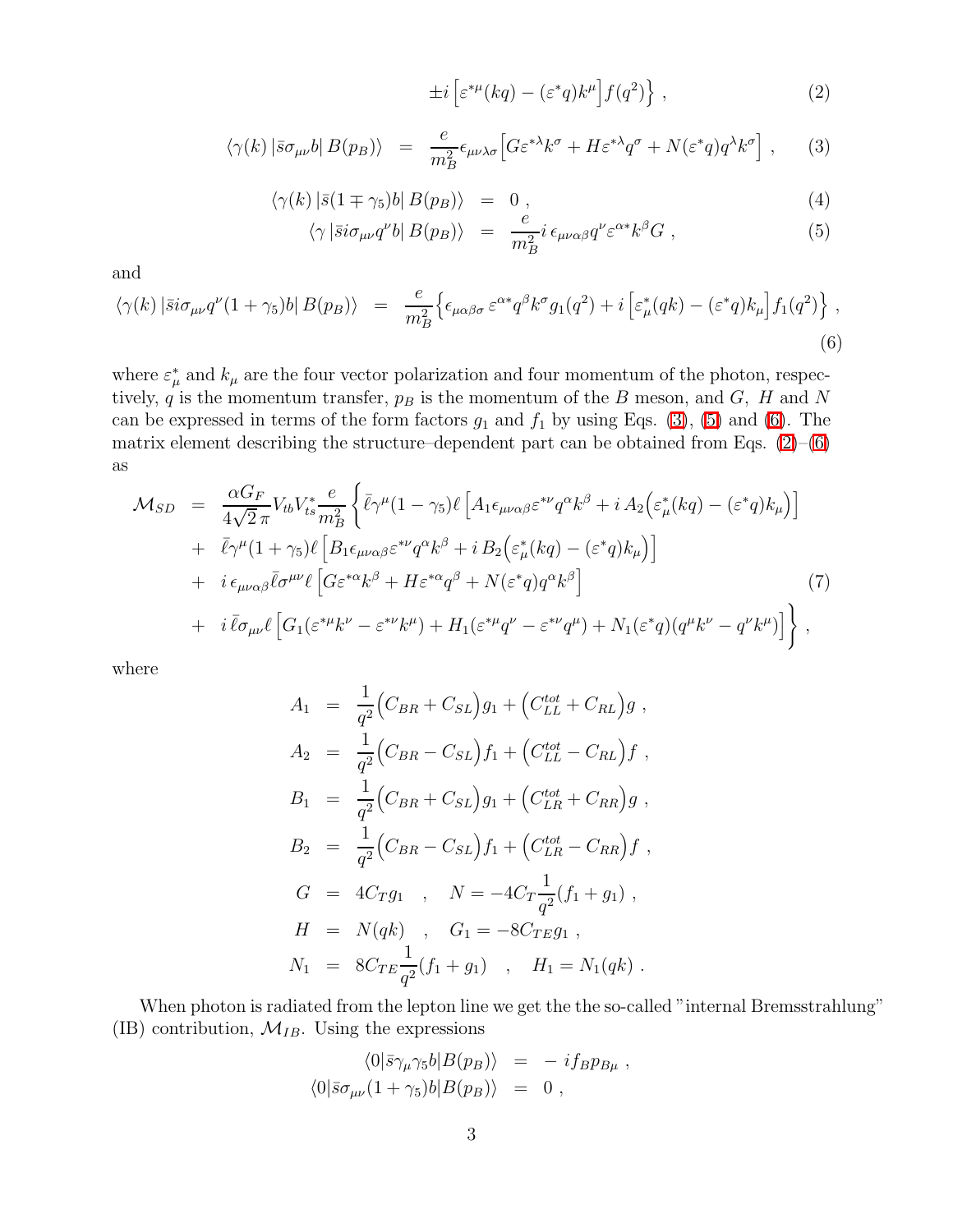$$
\pm i \left[ \varepsilon^{*\mu}(kq) - (\varepsilon^*q)k^{\mu} \right] f(q^2) \Big\} , \qquad (2)
$$

$$
\langle \gamma(k) | \bar{s} \sigma_{\mu\nu} b | B(p_B) \rangle = \frac{e}{m_B^2} \epsilon_{\mu\nu\lambda\sigma} \Big[ G \varepsilon^{*\lambda} k^{\sigma} + H \varepsilon^{*\lambda} q^{\sigma} + N(\varepsilon^* q) q^{\lambda} k^{\sigma} \Big], \quad (3)
$$

$$
\langle \gamma(k) | \bar{s} (1 \mp \gamma_5) b | B(p_B) \rangle = 0, \tag{4}
$$

$$
\langle \gamma \left| \bar{s} i \sigma_{\mu\nu} q^{\nu} b \right| B(p_B) \rangle = \frac{e}{m_B^2} i \, \epsilon_{\mu\nu\alpha\beta} q^{\nu} \varepsilon^{\alpha*} k^{\beta} G \;, \tag{5}
$$

<span id="page-3-0"></span>and

<span id="page-3-1"></span>
$$
\langle \gamma(k) | \bar{s} i \sigma_{\mu\nu} q^{\nu} (1 + \gamma_5) b | B(p_B) \rangle = \frac{e}{m_B^2} \Big\{ \epsilon_{\mu\alpha\beta\sigma} \, \varepsilon^{\alpha*} q^{\beta} k^{\sigma} g_1(q^2) + i \left[ \varepsilon_{\mu}^* (q k) - (\varepsilon^* q) k_{\mu} \right] f_1(q^2) \Big\} \,, \tag{6}
$$

where  $\varepsilon^*_{\mu}$  $_{\mu}^{*}$  and  $k_{\mu}$  are the four vector polarization and four momentum of the photon, respectively,  $q$  is the momentum transfer,  $p_B$  is the momentum of the B meson, and G, H and N can be expressed in terms of the form factors  $g_1$  and  $f_1$  by using Eqs. [\(3\)](#page-2-1), [\(5\)](#page-3-0) and [\(6\)](#page-3-1). The matrix element describing the structure–dependent part can be obtained from Eqs.  $(2)-(6)$  $(2)-(6)$ as

$$
\mathcal{M}_{SD} = \frac{\alpha G_F}{4\sqrt{2}\pi} V_{tb} V_{ts}^* \frac{e}{m_B^2} \left\{ \bar{\ell} \gamma^\mu (1 - \gamma_5) \ell \left[ A_1 \epsilon_{\mu\nu\alpha\beta} \varepsilon^{*\nu} q^\alpha k^\beta + i A_2 \Big( \varepsilon^*_{\mu} (kq) - (\varepsilon^* q) k_\mu \Big) \right] \right. \\ \left. + \bar{\ell} \gamma^\mu (1 + \gamma_5) \ell \left[ B_1 \epsilon_{\mu\nu\alpha\beta} \varepsilon^{*\nu} q^\alpha k^\beta + i B_2 \Big( \varepsilon^*_{\mu} (kq) - (\varepsilon^* q) k_\mu \Big) \right] \right. \\ \left. + i \epsilon_{\mu\nu\alpha\beta} \bar{\ell} \sigma^{\mu\nu} \ell \left[ G \varepsilon^{*\alpha} k^\beta + H \varepsilon^{*\alpha} q^\beta + N (\varepsilon^* q) q^\alpha k^\beta \right] \right. \\ \left. + i \bar{\ell} \sigma_{\mu\nu} \ell \left[ G_1 (\varepsilon^{*\mu} k^\nu - \varepsilon^{*\nu} k^\mu) + H_1 (\varepsilon^{*\mu} q^\nu - \varepsilon^{*\nu} q^\mu) + N_1 (\varepsilon^* q) (q^\mu k^\nu - q^\nu k^\mu) \right] \right\} \,,
$$

where

$$
A_1 = \frac{1}{q^2} (C_{BR} + C_{SL}) g_1 + (C_{LL}^{tot} + C_{RL}) g ,
$$
  
\n
$$
A_2 = \frac{1}{q^2} (C_{BR} - C_{SL}) f_1 + (C_{LL}^{tot} - C_{RL}) f ,
$$
  
\n
$$
B_1 = \frac{1}{q^2} (C_{BR} + C_{SL}) g_1 + (C_{LR}^{tot} + C_{RR}) g ,
$$
  
\n
$$
B_2 = \frac{1}{q^2} (C_{BR} - C_{SL}) f_1 + (C_{LR}^{tot} - C_{RR}) f ,
$$
  
\n
$$
G = 4C_T g_1 , N = -4C_T \frac{1}{q^2} (f_1 + g_1) ,
$$
  
\n
$$
H = N(qk) , G_1 = -8C_{TE} g_1 ,
$$
  
\n
$$
N_1 = 8C_{TE} \frac{1}{q^2} (f_1 + g_1) , H_1 = N_1(qk) .
$$

When photon is radiated from the lepton line we get the the so-called "internal Bremsstrahlung" (IB) contribution,  $\mathcal{M}_{IB}$ . Using the expressions

$$
\langle 0|\bar{s}\gamma_\mu\gamma_5 b|B(p_B)\rangle = -i f_B p_{B\mu} ,
$$
  

$$
\langle 0|\bar{s}\sigma_{\mu\nu}(1+\gamma_5)b|B(p_B)\rangle = 0 ,
$$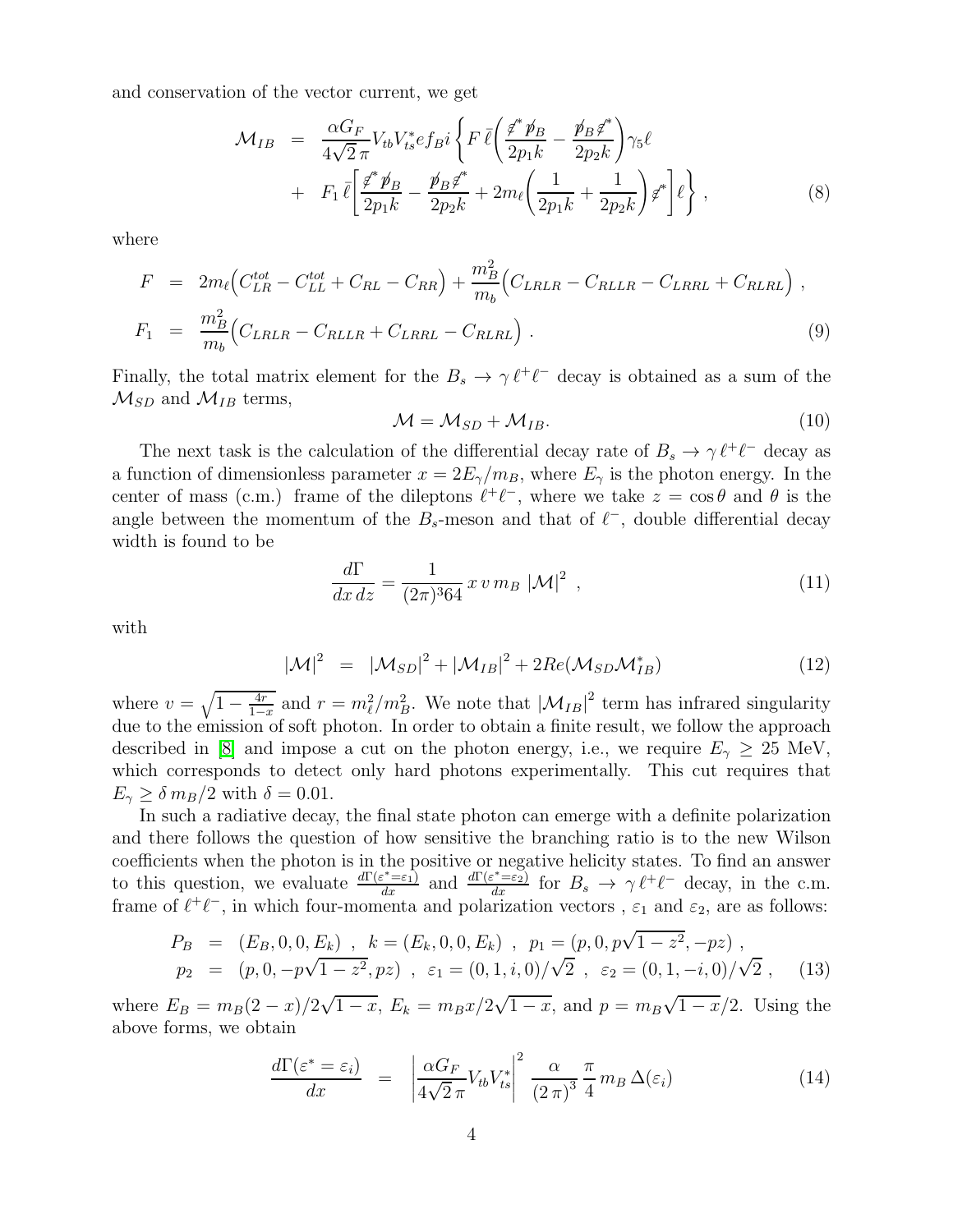and conservation of the vector current, we get

$$
\mathcal{M}_{IB} = \frac{\alpha G_F}{4\sqrt{2}\pi} V_{tb} V_{ts}^* e f_{B} i \left\{ F \bar{\ell} \left( \frac{\not\ell^* \not p_B}{2p_1 k} - \frac{\not p_B \not\ell^*}{2p_2 k} \right) \gamma_5 \ell \right. \\ \left. + F_1 \bar{\ell} \left[ \frac{\not\ell^* \not p_B}{2p_1 k} - \frac{\not p_B \not\ell^*}{2p_2 k} + 2m_\ell \left( \frac{1}{2p_1 k} + \frac{1}{2p_2 k} \right) \not\ell^* \right] \ell \right\} \,, \tag{8}
$$

where

$$
F = 2m_{\ell} \Big( C_{LR}^{tot} - C_{LL}^{tot} + C_{RL} - C_{RR} \Big) + \frac{m_B^2}{m_b} \Big( C_{LRLR} - C_{RLLR} - C_{LRRL} + C_{RLRL} \Big) ,
$$
  
\n
$$
F_1 = \frac{m_B^2}{m_b} \Big( C_{LRLR} - C_{RLLR} + C_{LRRL} - C_{RLRL} \Big) .
$$
 (9)

Finally, the total matrix element for the  $B_s \to \gamma \ell^+ \ell^-$  decay is obtained as a sum of the  $\mathcal{M}_{SD}$  and  $\mathcal{M}_{IB}$  terms,

$$
\mathcal{M} = \mathcal{M}_{SD} + \mathcal{M}_{IB}. \tag{10}
$$

The next task is the calculation of the differential decay rate of  $B_s \to \gamma \ell^+ \ell^-$  decay as a function of dimensionless parameter  $x = 2E_{\gamma}/m_B$ , where  $E_{\gamma}$  is the photon energy. In the center of mass (c.m.) frame of the dileptons  $\ell^+ \ell^-$ , where we take  $z = \cos \theta$  and  $\theta$  is the angle between the momentum of the  $B_s$ -meson and that of  $\ell^-$ , double differential decay width is found to be

$$
\frac{d\Gamma}{dx\,dz} = \frac{1}{(2\pi)^3 64} x \, v \, m_B \, |\mathcal{M}|^2 \, , \tag{11}
$$

with

$$
|\mathcal{M}|^2 = |\mathcal{M}_{SD}|^2 + |\mathcal{M}_{IB}|^2 + 2Re(\mathcal{M}_{SD}\mathcal{M}_{IB}^*)
$$
\n(12)

where  $v = \sqrt{1 - \frac{4r}{1-x}}$  and  $r = m_\ell^2/m_B^2$ . We note that  $|\mathcal{M}_{IB}|^2$  term has infrared singularity due to the emission of soft photon. In order to obtain a finite result, we follow the approach described in [\[8\]](#page-10-15) and impose a cut on the photon energy, i.e., we require  $E_{\gamma} \geq 25$  MeV, which corresponds to detect only hard photons experimentally. This cut requires that  $E_{\gamma} \geq \delta m_B/2$  with  $\delta = 0.01$ .

In such a radiative decay, the final state photon can emerge with a definite polarization and there follows the question of how sensitive the branching ratio is to the new Wilson coefficients when the photon is in the positive or negative helicity states. To find an answer to this question, we evaluate  $\frac{d\Gamma(\varepsilon^*=\varepsilon_1)}{dx}$  and  $\frac{d\Gamma(\varepsilon^*=\varepsilon_2)}{dx}$  for  $B_s \to \gamma \ell^+ \ell^-$  decay, in the c.m. frame of  $\ell^+\ell^-$ , in which four-momenta and polarization vectors,  $\varepsilon_1$  and  $\varepsilon_2$ , are as follows:

$$
P_B = (E_B, 0, 0, E_k), k = (E_k, 0, 0, E_k), p_1 = (p, 0, p\sqrt{1 - z^2}, -pz),
$$
  
\n
$$
p_2 = (p, 0, -p\sqrt{1 - z^2}, pz), \varepsilon_1 = (0, 1, i, 0)/\sqrt{2}, \varepsilon_2 = (0, 1, -i, 0)/\sqrt{2}, (13)
$$

where  $E_B = m_B(2-x)/2\sqrt{1-x}$ ,  $E_k = m_Bx/2\sqrt{1-x}$ , and  $p = m_B\sqrt{1-x}/2$ . Using the above forms, we obtain

$$
\frac{d\Gamma(\varepsilon^* = \varepsilon_i)}{dx} = \left| \frac{\alpha G_F}{4\sqrt{2}\pi} V_{tb} V_{ts}^* \right|^2 \frac{\alpha}{(2\pi)^3} \frac{\pi}{4} m_B \Delta(\varepsilon_i)
$$
\n(14)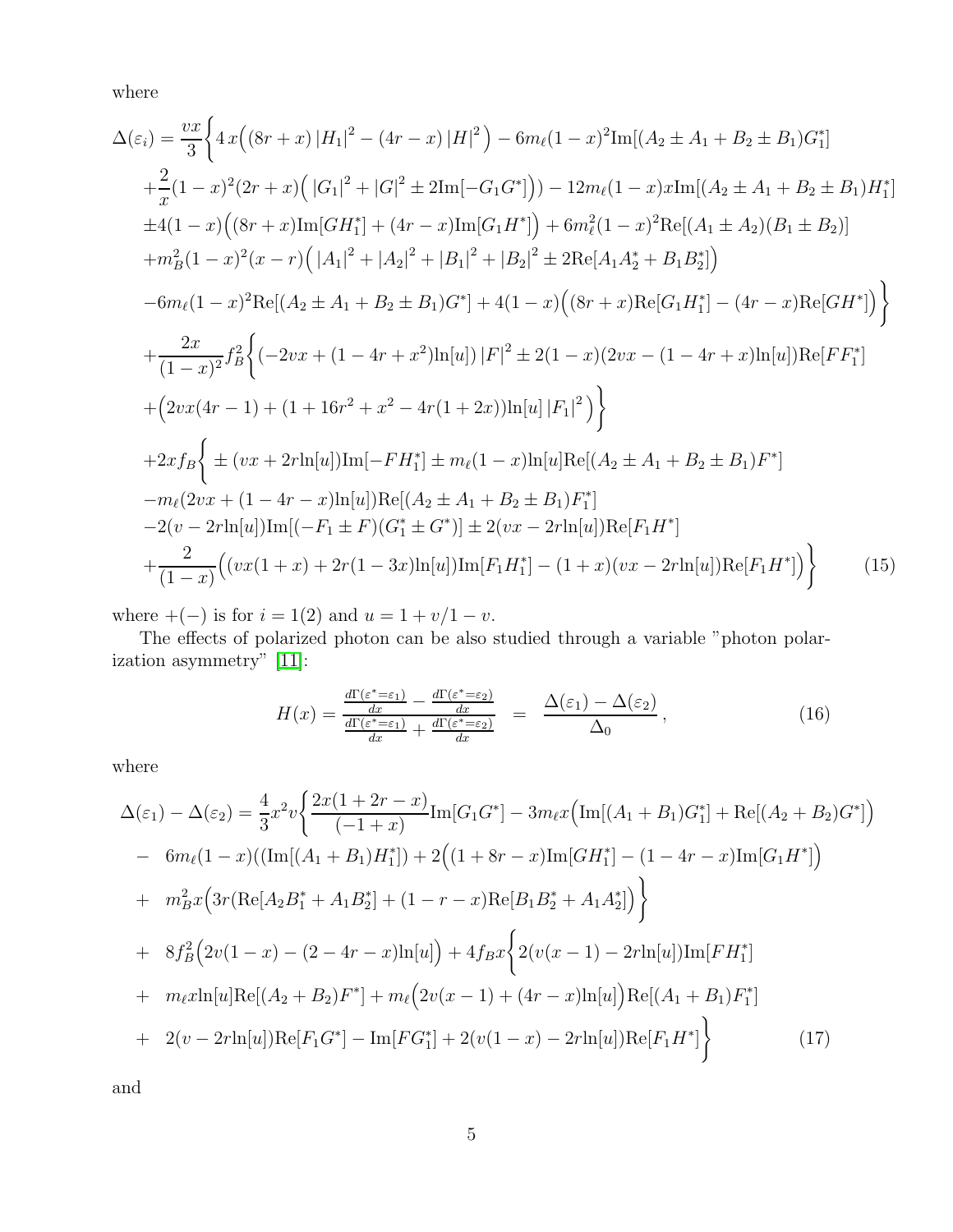where

<span id="page-5-1"></span>
$$
\Delta(\varepsilon_{i}) = \frac{vx}{3} \Biggl\{ 4x \Bigl( (8r + x) |H_{1}|^{2} - (4r - x) |H|^{2} \Bigr) - 6m_{\ell}(1 - x)^{2} \text{Im}[(A_{2} \pm A_{1} + B_{2} \pm B_{1})G_{1}^{*}] \n+ \frac{2}{x} (1 - x)^{2} (2r + x) \Bigl( |G_{1}|^{2} + |G|^{2} \pm 2\text{Im}[-G_{1}G^{*}]) \Bigr) - 12m_{\ell}(1 - x)x \text{Im}[(A_{2} \pm A_{1} + B_{2} \pm B_{1})H_{1}^{*}] \n\pm 4(1 - x) \Bigl( (8r + x) \text{Im}[GH_{1}^{*}] + (4r - x) \text{Im}[G_{1}H^{*}] \Bigr) + 6m_{\ell}^{2}(1 - x)^{2} \text{Re}[(A_{1} \pm A_{2})(B_{1} \pm B_{2})] \n+ m_{B}^{2}(1 - x)^{2}(x - r) \Bigl( |A_{1}|^{2} + |A_{2}|^{2} + |B_{1}|^{2} + |B_{2}|^{2} \pm 2\text{Re}[A_{1}A_{2}^{*} + B_{1}B_{2}^{*}] \Bigr) \n- 6m_{\ell}(1 - x)^{2} \text{Re}[(A_{2} \pm A_{1} + B_{2} \pm B_{1})G^{*}] + 4(1 - x) \Bigl( (8r + x) \text{Re}[G_{1}H_{1}^{*}] - (4r - x) \text{Re}[GH^{*}] \Bigr) \Biggr\} \n+ \frac{2x}{(1 - x)^{2}} f_{B}^{2} \Biggl\{ (-2vx + (1 - 4r + x^{2}) \text{ln}[u] \Bigl) |F|^{2} \pm 2(1 - x) (2vx - (1 - 4r + x) \text{ln}[u]) \text{Re}[FF_{1}^{*}] \n+ (2vx(4r - 1) + (1 + 16r^{2} + x^{2} - 4r(1 + 2x)) \text{ln}[u] |F_{1}|^{2} ) \Biggr\} \n+ 2xf_{B} \Biggl\{ \pm (vx + 2r \text{ln}[u]) \text{Im}[-FH_{1}^{*}] \pm m_{\ell}(1 - x) \text{
$$

where  $+(-)$  is for  $i = 1(2)$  and  $u = 1 + v/1 - v$ .

The effects of polarized photon can be also studied through a variable "photon polarization asymmetry" [\[11\]](#page-10-11):

$$
H(x) = \frac{\frac{d\Gamma(\varepsilon^* = \varepsilon_1)}{dx} - \frac{d\Gamma(\varepsilon^* = \varepsilon_2)}{dx}}{\frac{d\Gamma(\varepsilon^* = \varepsilon_1)}{dx} + \frac{d\Gamma(\varepsilon^* = \varepsilon_2)}{dx}} = \frac{\Delta(\varepsilon_1) - \Delta(\varepsilon_2)}{\Delta_0},
$$
\n(16)

<span id="page-5-0"></span>where

$$
\Delta(\varepsilon_{1}) - \Delta(\varepsilon_{2}) = \frac{4}{3}x^{2}v\left\{\frac{2x(1+2r-x)}{(-1+x)}\text{Im}[G_{1}G^{*}] - 3m_{\ell}x\left(\text{Im}[(A_{1}+B_{1})G_{1}^{*}] + \text{Re}[(A_{2}+B_{2})G^{*}]\right) \right\}
$$
  
\n
$$
- 6m_{\ell}(1-x)\left(\left(\text{Im}[(A_{1}+B_{1})H_{1}^{*}]\right) + 2\left((1+8r-x)\text{Im}[GH_{1}^{*}] - (1-4r-x)\text{Im}[G_{1}H^{*}]\right) \right)
$$
  
\n
$$
+ m_{B}^{2}x\left(3r(\text{Re}[A_{2}B_{1}^{*} + A_{1}B_{2}^{*}] + (1-r-x)\text{Re}[B_{1}B_{2}^{*} + A_{1}A_{2}^{*}]\right)\right\}
$$
  
\n
$$
+ 8f_{B}^{2}\left(2v(1-x) - (2-4r-x)\text{ln}[u]\right) + 4f_{B}x\left\{2(v(x-1) - 2r\text{ln}[u])\text{Im}[FH_{1}^{*}] \right\}
$$
  
\n
$$
+ m_{\ell}x\text{ln}[u]\text{Re}[(A_{2}+B_{2})F^{*}] + m_{\ell}\left(2v(x-1) + (4r-x)\text{ln}[u]\right)\text{Re}[(A_{1}+B_{1})F_{1}^{*}] \right\}
$$
  
\n
$$
+ 2(v-2r\text{ln}[u])\text{Re}[F_{1}G^{*}] - \text{Im}[FG_{1}^{*}] + 2(v(1-x) - 2r\text{ln}[u])\text{Re}[F_{1}H^{*}] \right\}
$$
  
\n(17)

and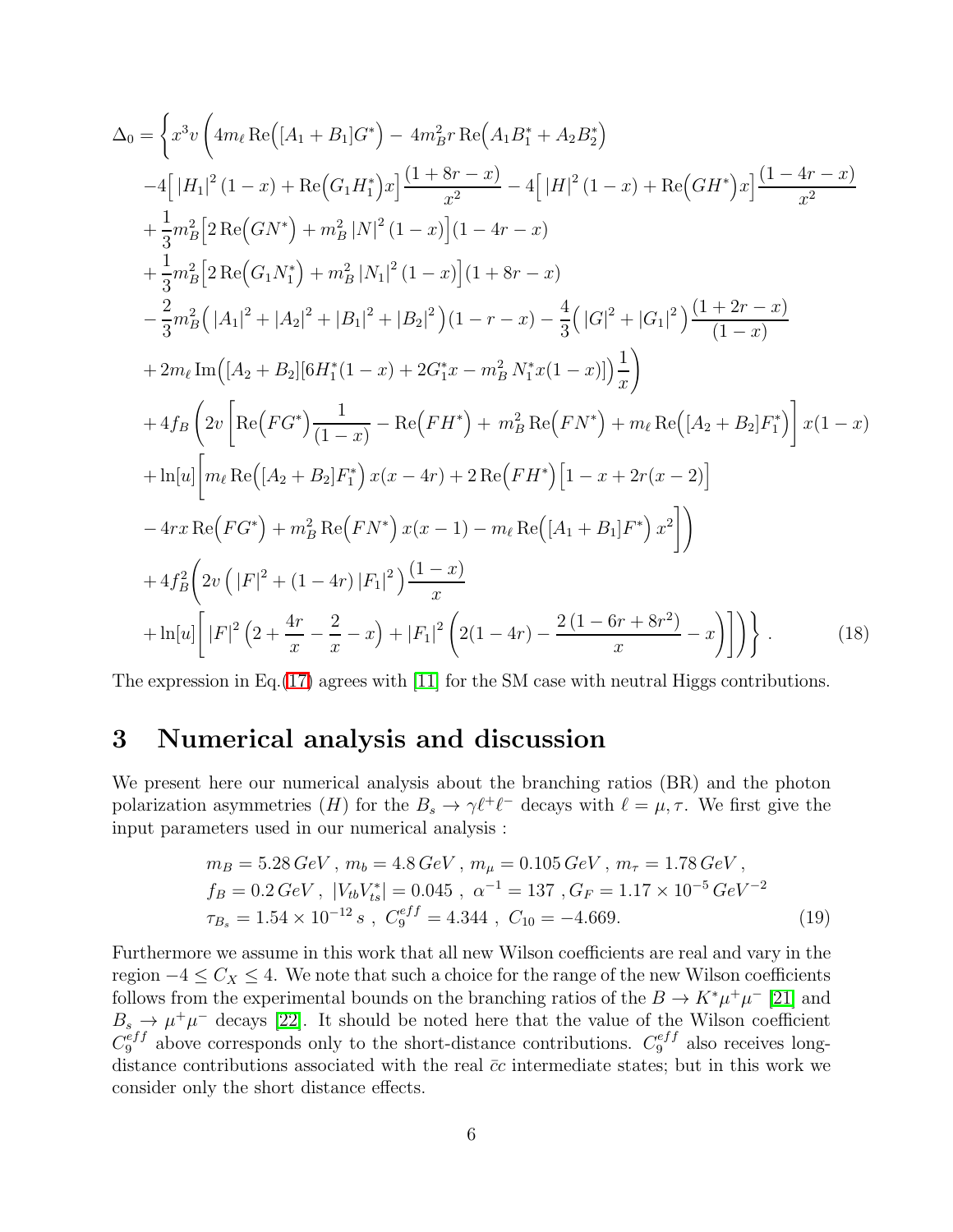$$
\Delta_{0} = \left\{ x^{3}v \left( 4m_{\ell} \operatorname{Re} \left( [A_{1} + B_{1}]G^{*} \right) - 4m_{B}^{2}r \operatorname{Re} \left( A_{1}B_{1}^{*} + A_{2}B_{2}^{*} \right) \right.\n\left. -4\left[ |H_{1}|^{2} (1-x) + \operatorname{Re} \left( G_{1}H_{1}^{*} \right)x \right] \frac{(1+8r-x)}{x^{2}} - 4\left[ |H|^{2} (1-x) + \operatorname{Re} \left( GH^{*} \right)x \right] \frac{(1-4r-x)}{x^{2}} \right.\n+ \frac{1}{3}m_{B}^{2} \left[ 2 \operatorname{Re} \left( G N^{*} \right) + m_{B}^{2} |N|^{2} (1-x) \right] (1-4r-x) \right.\n+ \frac{1}{3}m_{B}^{2} \left[ 2 \operatorname{Re} \left( G_{1}N_{1}^{*} \right) + m_{B}^{2} |N_{1}|^{2} (1-x) \right] (1+8r-x) \right.\n- \frac{2}{3}m_{B}^{2} (|A_{1}|^{2} + |A_{2}|^{2} + |B_{1}|^{2} + |B_{2}|^{2}) (1-r-x) - \frac{4}{3} (|G|^{2} + |G_{1}|^{2}) \frac{(1+2r-x)}{(1-x)} \right.\n+ 2m_{\ell} \operatorname{Im} \left( [A_{2} + B_{2}] [6H_{1}^{*}(1-x) + 2G_{1}^{*}x - m_{B}^{2} N_{1}^{*}x (1-x) \right) \frac{1}{x} \right)\n+ 4f_{B} \left( 2v \left[ \operatorname{Re} \left( FG^{*} \right) \frac{1}{(1-x)} - \operatorname{Re} \left( FH^{*} \right) + m_{B}^{2} \operatorname{Re} \left( FN^{*} \right) + m_{\ell} \operatorname{Re} \left( [A_{2} + B_{2}]F_{1}^{*} \right) \right] x (1-x) \right.\n+ \ln[u] \left[ m_{\ell} \operatorname{Re} \left( [A_{2} + B_{2}]F_{1}^{*} \right) x (x - 4r) + 2 \operatorname{Re} \left( FH^{*} \right) \left[ 1 - x + 2r(x - 2) \right]
$$

The expression in Eq.[\(17\)](#page-5-0) agrees with [\[11\]](#page-10-11) for the SM case with neutral Higgs contributions.

### 3 Numerical analysis and discussion

We present here our numerical analysis about the branching ratios (BR) and the photon polarization asymmetries  $(H)$  for the  $B_s \to \gamma \ell^+ \ell^-$  decays with  $\ell = \mu, \tau$ . We first give the input parameters used in our numerical analysis :

$$
m_B = 5.28 \, GeV \, , \, m_b = 4.8 \, GeV \, , \, m_\mu = 0.105 \, GeV \, , \, m_\tau = 1.78 \, GeV \, ,
$$
\n
$$
f_B = 0.2 \, GeV \, , \, |V_{tb}V_{ts}^*| = 0.045 \, , \, \alpha^{-1} = 137 \, , \, G_F = 1.17 \times 10^{-5} \, GeV^{-2}
$$
\n
$$
\tau_{B_s} = 1.54 \times 10^{-12} \, s \, , \, C_9^{eff} = 4.344 \, , \, C_{10} = -4.669. \tag{19}
$$

Furthermore we assume in this work that all new Wilson coefficients are real and vary in the region  $-4 \leq C_X \leq 4$ . We note that such a choice for the range of the new Wilson coefficients follows from the experimental bounds on the branching ratios of the  $B \to K^*\mu^+\mu^-$  [\[21\]](#page-10-17) and  $B_s \to \mu^+\mu^-$  decays [\[22\]](#page-10-18). It should be noted here that the value of the Wilson coefficient  $C_9^{eff}$  above corresponds only to the short-distance contributions.  $C_9^{eff}$  also receives longdistance contributions associated with the real  $\bar{c}c$  intermediate states; but in this work we consider only the short distance effects.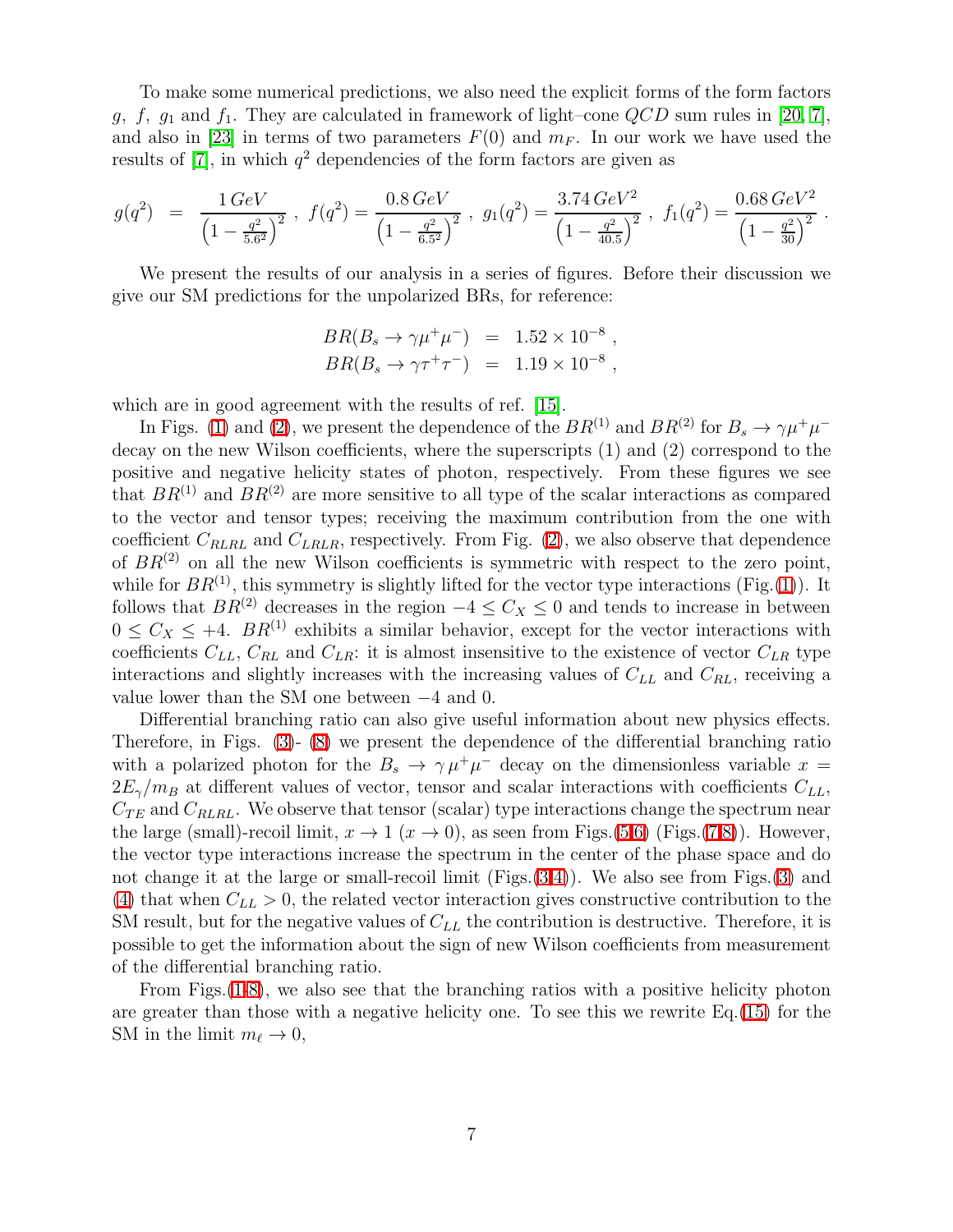To make some numerical predictions, we also need the explicit forms of the form factors g, f,  $g_1$  and  $f_1$ . They are calculated in framework of light–cone  $QCD$  sum rules in [\[20,](#page-10-16) [7\]](#page-10-14), and also in [\[23\]](#page-10-19) in terms of two parameters  $F(0)$  and  $m_F$ . In our work we have used the results of  $[7]$ , in which  $q^2$  dependencies of the form factors are given as

$$
g(q^2) = \frac{1 \, GeV}{\left(1 - \frac{q^2}{5.6^2}\right)^2}, \ f(q^2) = \frac{0.8 \, GeV}{\left(1 - \frac{q^2}{6.5^2}\right)^2}, \ g_1(q^2) = \frac{3.74 \, GeV^2}{\left(1 - \frac{q^2}{40.5}\right)^2}, \ f_1(q^2) = \frac{0.68 \, GeV^2}{\left(1 - \frac{q^2}{30}\right)^2}.
$$

We present the results of our analysis in a series of figures. Before their discussion we give our SM predictions for the unpolarized BRs, for reference:

$$
BR(B_s \to \gamma \mu^+ \mu^-) = 1.52 \times 10^{-8} ,
$$
  
\n
$$
BR(B_s \to \gamma \tau^+ \tau^-) = 1.19 \times 10^{-8} ,
$$

which are in good agreement with the results of ref. [\[15\]](#page-10-20).

In Figs. [\(1\)](#page-11-0) and [\(2\)](#page-11-1), we present the dependence of the  $BR^{(1)}$  and  $BR^{(2)}$  for  $B_s \to \gamma \mu^+ \mu^$ decay on the new Wilson coefficients, where the superscripts (1) and (2) correspond to the positive and negative helicity states of photon, respectively. From these figures we see that  $BR^{(1)}$  and  $BR^{(2)}$  are more sensitive to all type of the scalar interactions as compared to the vector and tensor types; receiving the maximum contribution from the one with coefficient  $C_{RLRL}$  and  $C_{LRLR}$ , respectively. From Fig. [\(2\)](#page-11-1), we also observe that dependence of  $BR<sup>(2)</sup>$  on all the new Wilson coefficients is symmetric with respect to the zero point, while for  $BR^{(1)}$  $BR^{(1)}$  $BR^{(1)}$ , this symmetry is slightly lifted for the vector type interactions (Fig.(1)). It follows that  $BR^{(2)}$  decreases in the region  $-4 \leq C_X \leq 0$  and tends to increase in between  $0 \leq C_X \leq +4$ .  $BR^{(1)}$  exhibits a similar behavior, except for the vector interactions with coefficients  $C_{LL}$ ,  $C_{RL}$  and  $C_{LR}$ : it is almost insensitive to the existence of vector  $C_{LR}$  type interactions and slightly increases with the increasing values of  $C_{LL}$  and  $C_{RL}$ , receiving a value lower than the SM one between −4 and 0.

Differential branching ratio can also give useful information about new physics effects. Therefore, in Figs. [\(3\)](#page-12-0)- [\(8\)](#page-14-0) we present the dependence of the differential branching ratio with a polarized photon for the  $B_s \to \gamma \mu^+ \mu^-$  decay on the dimensionless variable  $x =$  $2E_\gamma/m_B$  at different values of vector, tensor and scalar interactions with coefficients  $C_{LL}$ ,  $C_{TE}$  and  $C_{RLRL}$ . We observe that tensor (scalar) type interactions change the spectrum near the large (small)-recoil limit,  $x \to 1$   $(x \to 0)$ , as seen from Figs.[\(5,](#page-13-0)[6\)](#page-13-1) (Figs.[\(7](#page-14-1)[,8\)](#page-14-0)). However, the vector type interactions increase the spectrum in the center of the phase space and do not change it at the large or small-recoil limit  $(Figs.(3,4))$  $(Figs.(3,4))$  $(Figs.(3,4))$  $(Figs.(3,4))$ . We also see from Figs. $(3)$  and [\(4\)](#page-12-1) that when  $C_{LL} > 0$ , the related vector interaction gives constructive contribution to the SM result, but for the negative values of  $C_{LL}$  the contribution is destructive. Therefore, it is possible to get the information about the sign of new Wilson coefficients from measurement of the differential branching ratio.

From Figs.[\(1-](#page-11-0)[8\)](#page-14-0), we also see that the branching ratios with a positive helicity photon are greater than those with a negative helicity one. To see this we rewrite Eq.[\(15\)](#page-5-1) for the SM in the limit  $m_{\ell} \to 0$ ,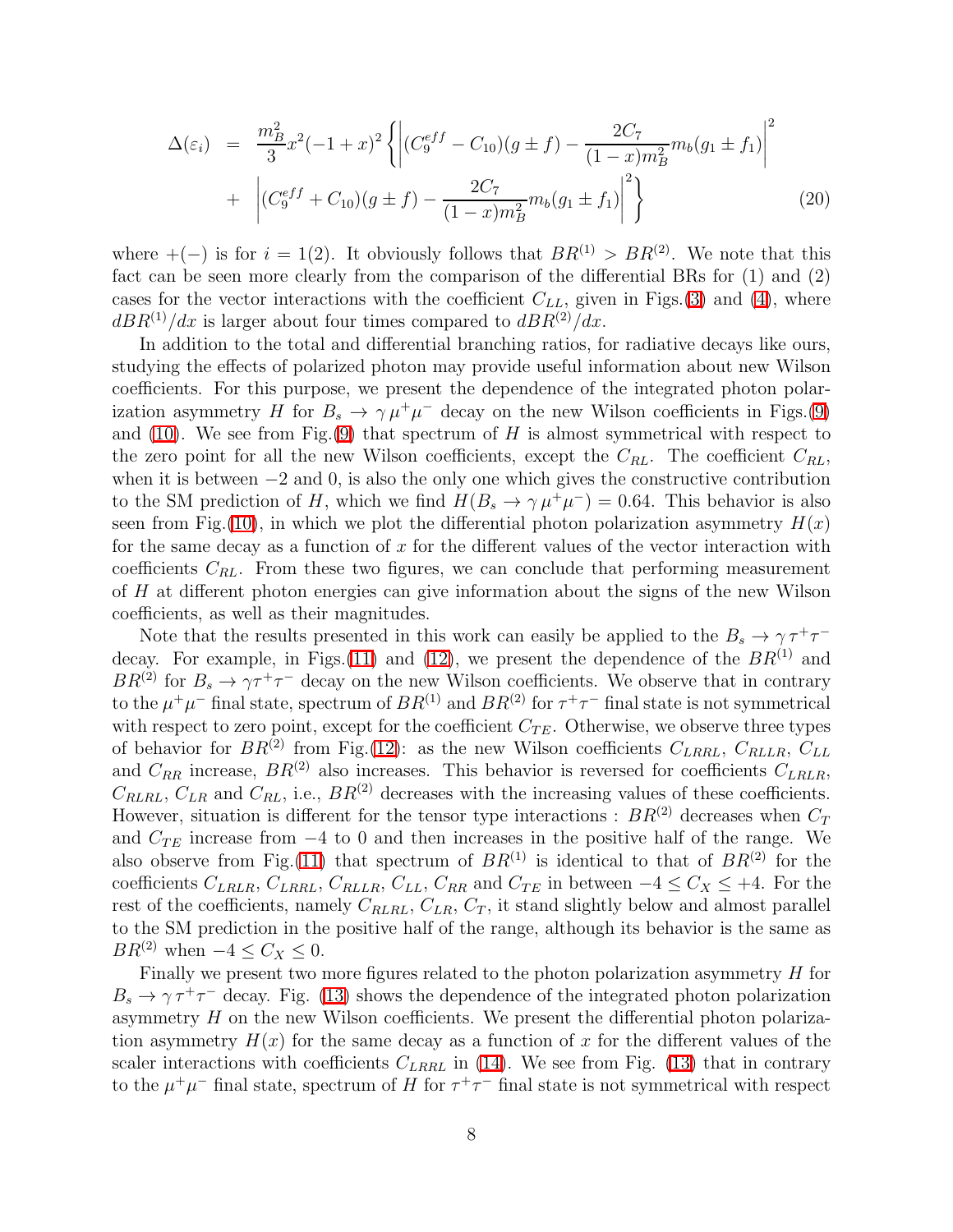$$
\Delta(\varepsilon_i) = \frac{m_B^2}{3} x^2 (-1+x)^2 \left\{ \left| (C_9^{eff} - C_{10})(g \pm f) - \frac{2C_7}{(1-x)m_B^2} m_b(g_1 \pm f_1) \right|^2 \right\} + \left| (C_9^{eff} + C_{10})(g \pm f) - \frac{2C_7}{(1-x)m_B^2} m_b(g_1 \pm f_1) \right|^2 \right\}
$$
(20)

where  $+(-)$  is for  $i = 1(2)$ . It obviously follows that  $BR^{(1)} > BR^{(2)}$ . We note that this fact can be seen more clearly from the comparison of the differential BRs for (1) and (2) cases for the vector interactions with the coefficient  $C_{LL}$ , given in Figs.[\(3\)](#page-12-0) and [\(4\)](#page-12-1), where  $dBR^{(1)}/dx$  is larger about four times compared to  $dBR^{(2)}/dx$ .

In addition to the total and differential branching ratios, for radiative decays like ours, studying the effects of polarized photon may provide useful information about new Wilson coefficients. For this purpose, we present the dependence of the integrated photon polarization asymmetry H for  $B_s \to \gamma \mu^+ \mu^-$  decay on the new Wilson coefficients in Figs.[\(9\)](#page-15-0) and  $(10)$ . We see from Fig. $(9)$  that spectrum of H is almost symmetrical with respect to the zero point for all the new Wilson coefficients, except the  $C_{RL}$ . The coefficient  $C_{RL}$ , when it is between  $-2$  and 0, is also the only one which gives the constructive contribution to the SM prediction of H, which we find  $H(B_s \to \gamma \mu^+ \mu^-) = 0.64$ . This behavior is also seen from Fig.[\(10\)](#page-15-1), in which we plot the differential photon polarization asymmetry  $H(x)$ for the same decay as a function of  $x$  for the different values of the vector interaction with coefficients  $C_{RL}$ . From these two figures, we can conclude that performing measurement of H at different photon energies can give information about the signs of the new Wilson coefficients, as well as their magnitudes.

Note that the results presented in this work can easily be applied to the  $B_s \to \gamma \tau^+ \tau^-$ decay. For example, in Figs.[\(11\)](#page-16-0) and [\(12\)](#page-16-1), we present the dependence of the  $BR^{(1)}$  and  $BR^{(2)}$  for  $B_s \to \gamma \tau^+ \tau^-$  decay on the new Wilson coefficients. We observe that in contrary to the  $\mu^+\mu^-$  final state, spectrum of  $BR^{(1)}$  and  $BR^{(2)}$  for  $\tau^+\tau^-$  final state is not symmetrical with respect to zero point, except for the coefficient  $C_{TE}$ . Otherwise, we observe three types of behavior for  $BR^{(2)}$  from Fig.[\(12\)](#page-16-1): as the new Wilson coefficients  $C_{LRRL}$ ,  $C_{RLLR}$ ,  $C_{LL}$ and  $C_{RR}$  increase,  $BR^{(2)}$  also increases. This behavior is reversed for coefficients  $C_{LRLR}$ ,  $C_{RLRL}$ ,  $C_{LR}$  and  $C_{RL}$ , i.e.,  $BR^{(2)}$  decreases with the increasing values of these coefficients. However, situation is different for the tensor type interactions :  $BR^{(2)}$  decreases when  $C_T$ and  $C_{TE}$  increase from  $-4$  to 0 and then increases in the positive half of the range. We also observe from Fig.[\(11\)](#page-16-0) that spectrum of  $BR^{(1)}$  is identical to that of  $BR^{(2)}$  for the coefficients  $C_{LRLR}$ ,  $C_{LRRL}$ ,  $C_{RLLR}$ ,  $C_{LL}$ ,  $C_{RR}$  and  $C_{TE}$  in between  $-4 \le C_X \le +4$ . For the rest of the coefficients, namely  $C_{RLRL}$ ,  $C_{LR}$ ,  $C_T$ , it stand slightly below and almost parallel to the SM prediction in the positive half of the range, although its behavior is the same as  $BR^{(2)}$  when  $-4 \leq C_X \leq 0$ .

Finally we present two more figures related to the photon polarization asymmetry  $H$  for  $B_s \to \gamma \tau^+ \tau^-$  decay. Fig. [\(13\)](#page-17-0) shows the dependence of the integrated photon polarization asymmetry  $H$  on the new Wilson coefficients. We present the differential photon polarization asymmetry  $H(x)$  for the same decay as a function of x for the different values of the scaler interactions with coefficients  $C_{LRRL}$  in [\(14\)](#page-17-1). We see from Fig. [\(13\)](#page-17-0) that in contrary to the  $\mu^+\mu^-$  final state, spectrum of H for  $\tau^+\tau^-$  final state is not symmetrical with respect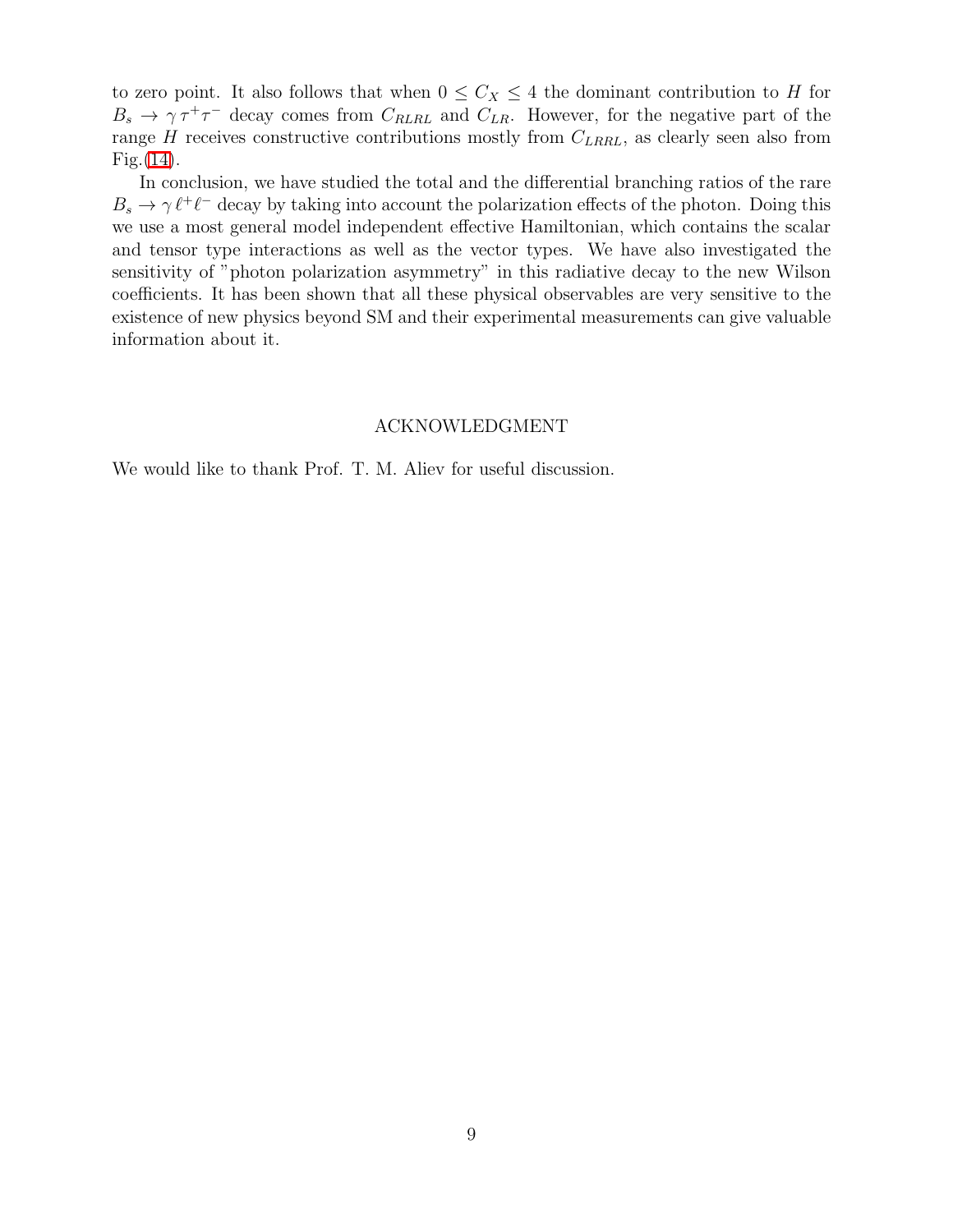to zero point. It also follows that when  $0 \leq C_X \leq 4$  the dominant contribution to H for  $B_s \to \gamma \tau^+ \tau^-$  decay comes from  $C_{RLRL}$  and  $C_{LR}$ . However, for the negative part of the range  $H$  receives constructive contributions mostly from  $C_{LRRL}$ , as clearly seen also from Fig.[\(14\)](#page-17-1).

In conclusion, we have studied the total and the differential branching ratios of the rare  $B_s \to \gamma \ell^+ \ell^-$  decay by taking into account the polarization effects of the photon. Doing this we use a most general model independent effective Hamiltonian, which contains the scalar and tensor type interactions as well as the vector types. We have also investigated the sensitivity of "photon polarization asymmetry" in this radiative decay to the new Wilson coefficients. It has been shown that all these physical observables are very sensitive to the existence of new physics beyond SM and their experimental measurements can give valuable information about it.

### ACKNOWLEDGMENT

We would like to thank Prof. T. M. Aliev for useful discussion.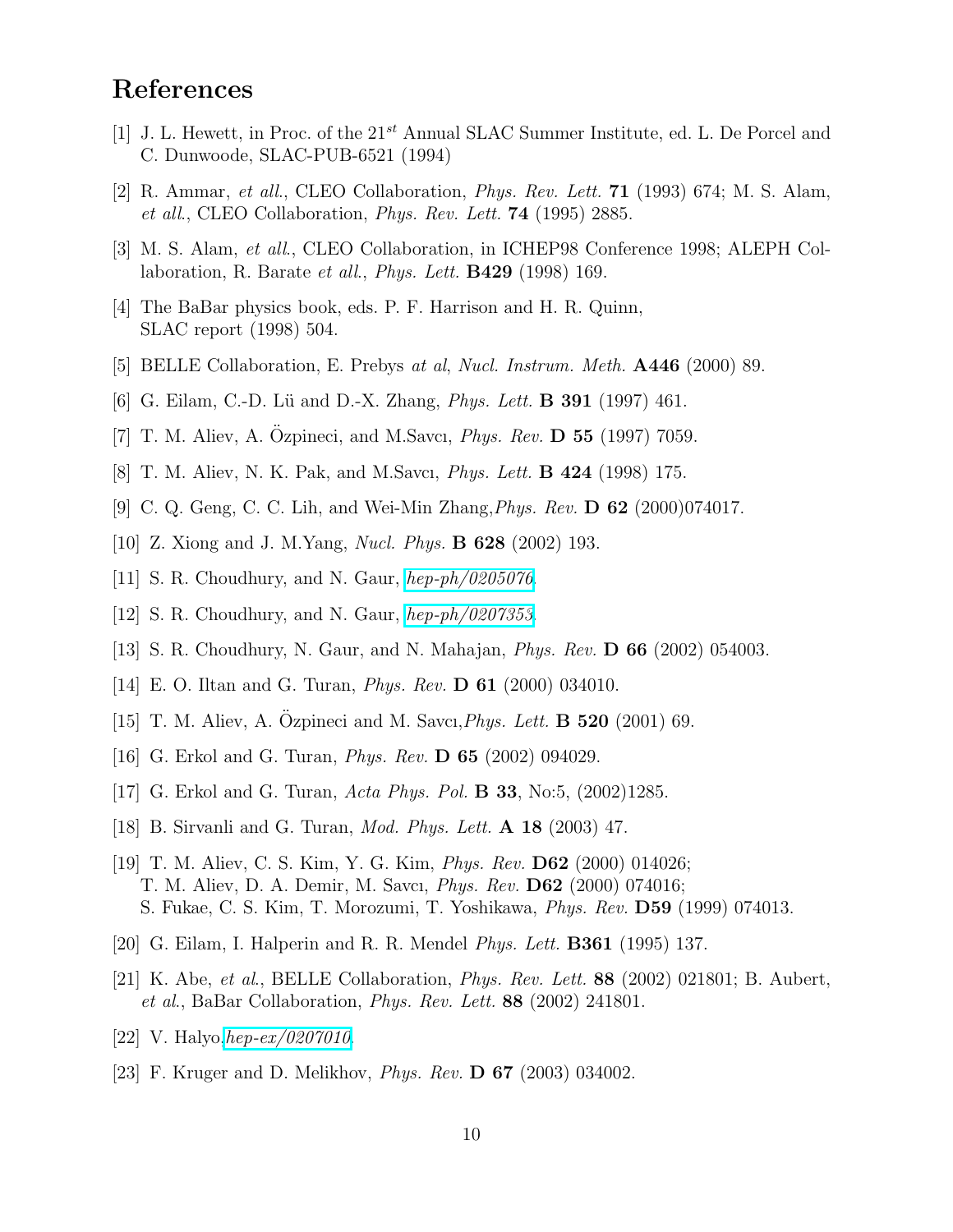## References

- <span id="page-10-0"></span>[1] J. L. Hewett, in Proc. of the  $21^{st}$  Annual SLAC Summer Institute, ed. L. De Porcel and C. Dunwoode, SLAC-PUB-6521 (1994)
- <span id="page-10-1"></span>[2] R. Ammar, et all., CLEO Collaboration, Phys. Rev. Lett. 71 (1993) 674; M. S. Alam, et all., CLEO Collaboration, Phys. Rev. Lett. 74 (1995) 2885.
- <span id="page-10-2"></span>[3] M. S. Alam, et all., CLEO Collaboration, in ICHEP98 Conference 1998; ALEPH Collaboration, R. Barate et all., *Phys. Lett.* **B429** (1998) 169.
- <span id="page-10-3"></span>[4] The BaBar physics book, eds. P. F. Harrison and H. R. Quinn, SLAC report (1998) 504.
- <span id="page-10-4"></span>[5] BELLE Collaboration, E. Prebys at al, Nucl. Instrum. Meth. A446 (2000) 89.
- <span id="page-10-14"></span>[6] G. Eilam, C.-D. Lü and D.-X. Zhang, *Phys. Lett.* **B 391** (1997) 461.
- <span id="page-10-15"></span>[7] T. M. Aliev, A. Ozpineci, and M.Savcı, *Phys. Rev.* **D 55** (1997) 7059.
- <span id="page-10-5"></span>[8] T. M. Aliev, N. K. Pak, and M.Savcı, *Phys. Lett.* **B 424** (1998) 175.
- <span id="page-10-6"></span>[9] C. Q. Geng, C. C. Lih, and Wei-Min Zhang,Phys. Rev. D 62 (2000)074017.
- <span id="page-10-11"></span>[10] Z. Xiong and J. M.Yang, Nucl. Phys. B 628 (2002) 193.
- <span id="page-10-7"></span>[11] S. R. Choudhury, and N. Gaur,  $hep-ph/0205076$ .
- <span id="page-10-10"></span>[12] S. R. Choudhury, and N. Gaur,  $hep-ph/0207353$ .
- <span id="page-10-8"></span>[13] S. R. Choudhury, N. Gaur, and N. Mahajan, Phys. Rev. D 66 (2002) 054003.
- <span id="page-10-20"></span>[14] E. O. Iltan and G. Turan, Phys. Rev. D 61 (2000) 034010.
- [15] T. M. Aliev, A. Ozpineci and M. Savcı, *Phys. Lett.* **B 520** (2001) 69.
- <span id="page-10-9"></span>[16] G. Erkol and G. Turan, Phys. Rev. D 65 (2002) 094029.
- <span id="page-10-12"></span>[17] G. Erkol and G. Turan, Acta Phys. Pol. B 33, No:5, (2002)1285.
- <span id="page-10-13"></span>[18] B. Sirvanli and G. Turan, Mod. Phys. Lett. A 18 (2003) 47.
- [19] T. M. Aliev, C. S. Kim, Y. G. Kim, Phys. Rev. D62 (2000) 014026; T. M. Aliev, D. A. Demir, M. Savcı, Phys. Rev. D62 (2000) 074016; S. Fukae, C. S. Kim, T. Morozumi, T. Yoshikawa, Phys. Rev. D59 (1999) 074013.
- <span id="page-10-17"></span><span id="page-10-16"></span>[20] G. Eilam, I. Halperin and R. R. Mendel Phys. Lett. B361 (1995) 137.
- [21] K. Abe, et al., BELLE Collaboration, Phys. Rev. Lett. 88 (2002) 021801; B. Aubert, et al., BaBar Collaboration, Phys. Rev. Lett. 88 (2002) 241801.
- <span id="page-10-19"></span><span id="page-10-18"></span>[22] V. Halyo, [hep-ex/0207010](http://arxiv.org/abs/hep-ex/0207010).
- [23] F. Kruger and D. Melikhov, Phys. Rev. D 67 (2003) 034002.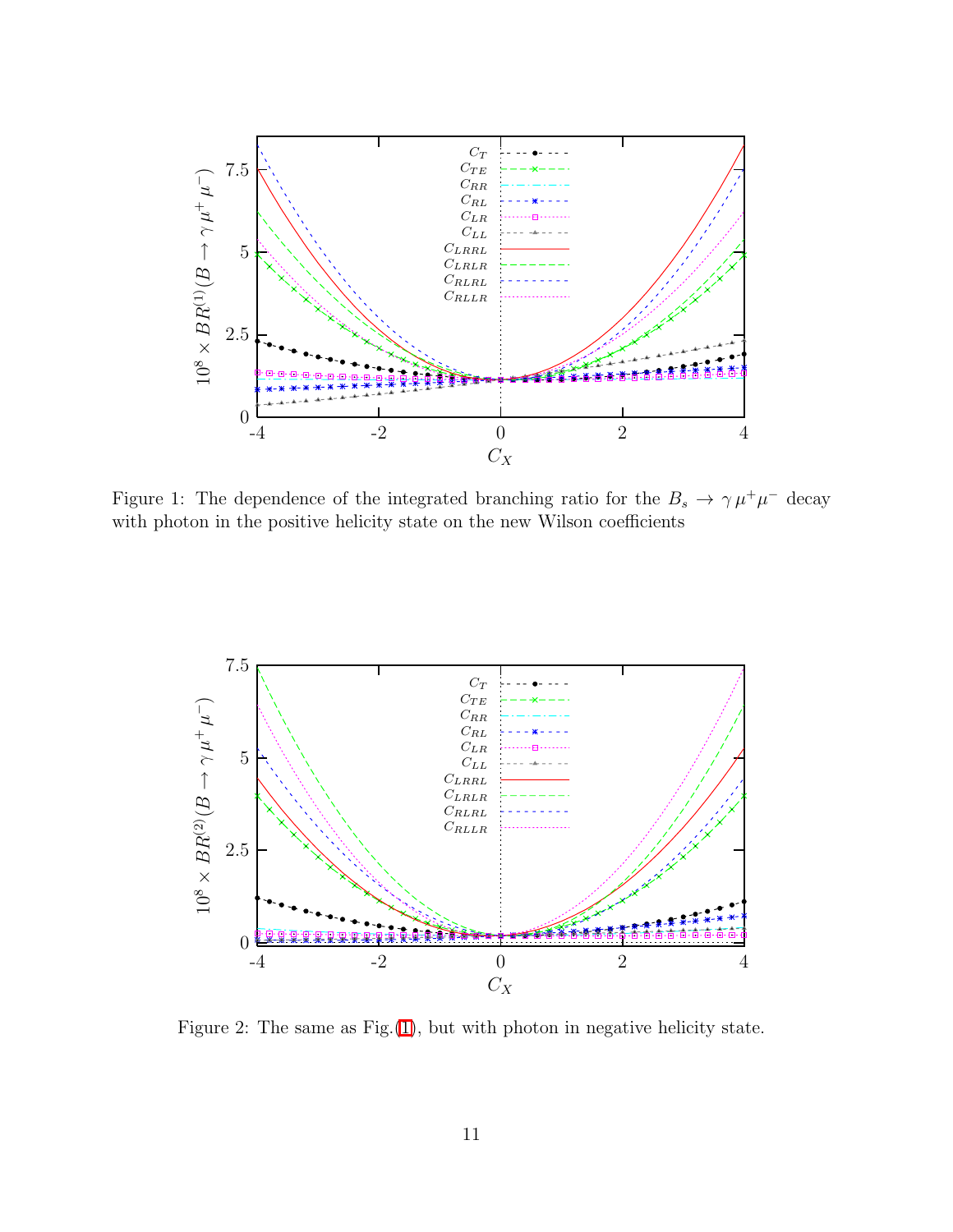

<span id="page-11-0"></span>Figure 1: The dependence of the integrated branching ratio for the  $B_s \to \gamma \mu^+ \mu^-$  decay with photon in the positive helicity state on the new Wilson coefficients



<span id="page-11-1"></span>Figure 2: The same as  $Fig.(1)$  $Fig.(1)$ , but with photon in negative helicity state.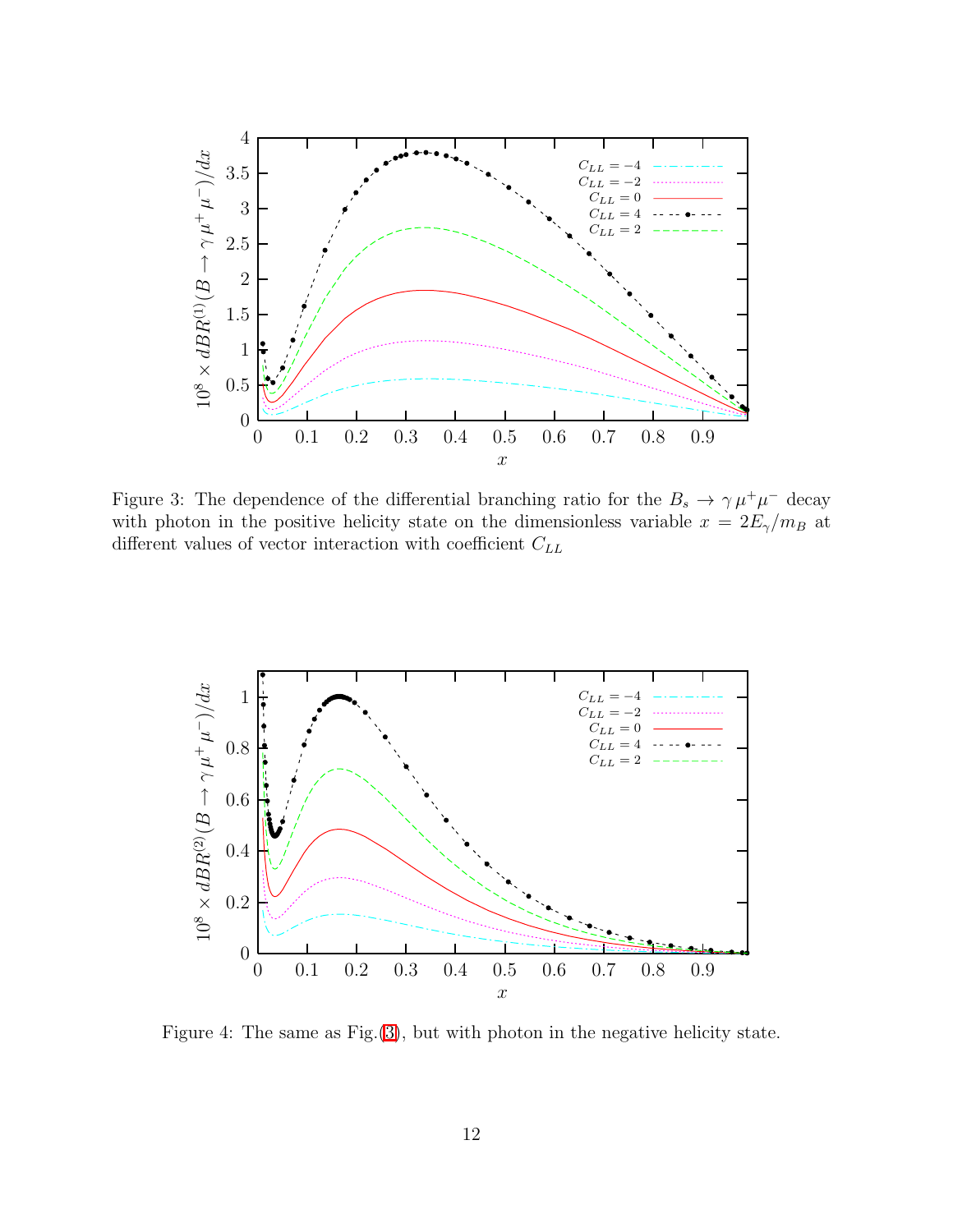

<span id="page-12-0"></span>Figure 3: The dependence of the differential branching ratio for the  $B_s \to \gamma \mu^+ \mu^-$  decay with photon in the positive helicity state on the dimensionless variable  $x = 2E_{\gamma}/m_B$  at different values of vector interaction with coefficient  $C_{LL}$ 



<span id="page-12-1"></span>Figure 4: The same as Fig.[\(3\)](#page-12-0), but with photon in the negative helicity state.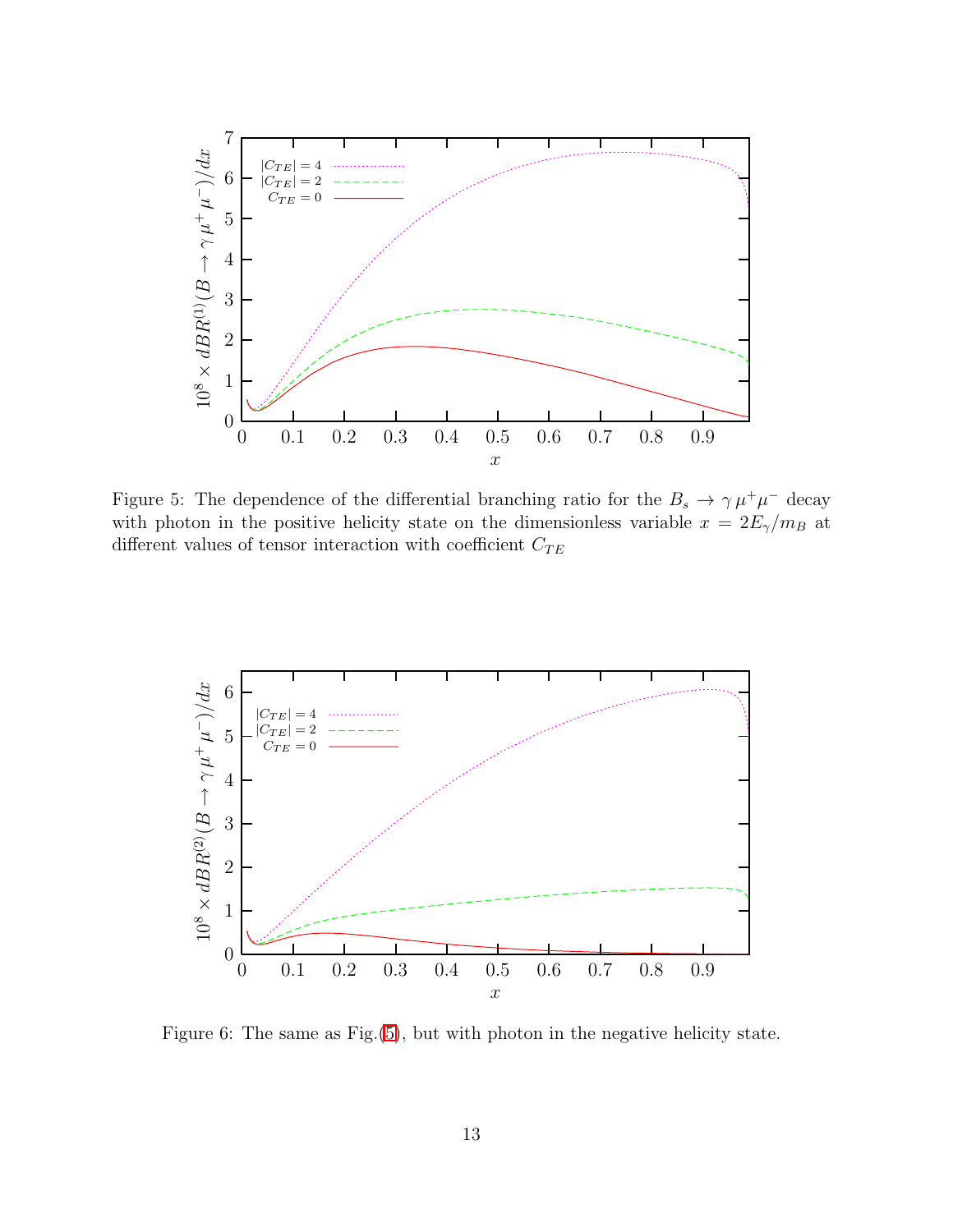

<span id="page-13-0"></span>Figure 5: The dependence of the differential branching ratio for the  $B_s \to \gamma \mu^+ \mu^-$  decay with photon in the positive helicity state on the dimensionless variable  $x = 2E_{\gamma}/m_B$  at different values of tensor interaction with coefficient  $C_{TE}$ 



<span id="page-13-1"></span>Figure 6: The same as Fig.[\(5\)](#page-13-0), but with photon in the negative helicity state.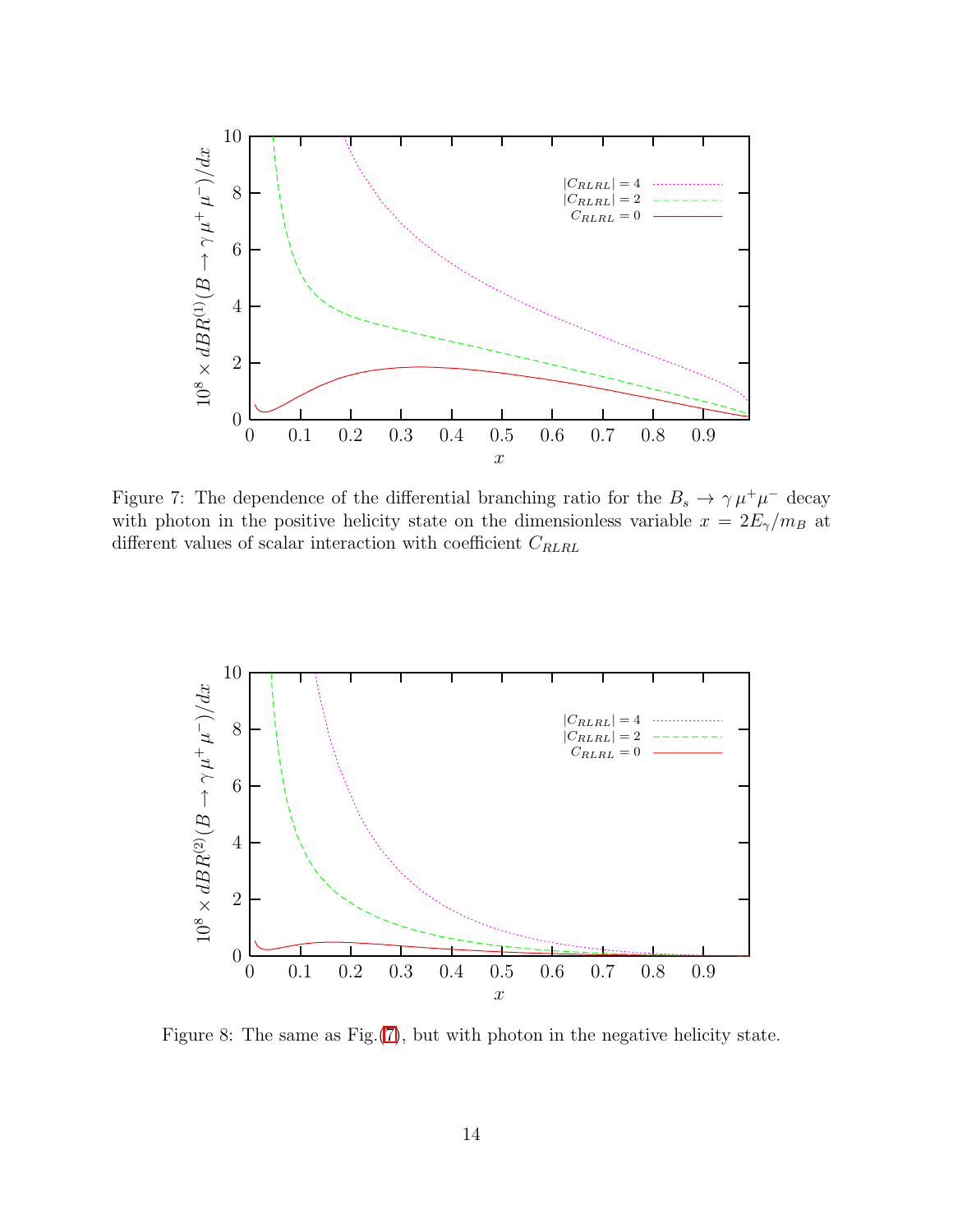

<span id="page-14-1"></span>Figure 7: The dependence of the differential branching ratio for the  $B_s \to \gamma \mu^+ \mu^-$  decay with photon in the positive helicity state on the dimensionless variable  $x = 2E_{\gamma}/m_B$  at different values of scalar interaction with coefficient  $C_{\mathit{RLRL}}$ 



<span id="page-14-0"></span>Figure 8: The same as Fig.[\(7\)](#page-14-1), but with photon in the negative helicity state.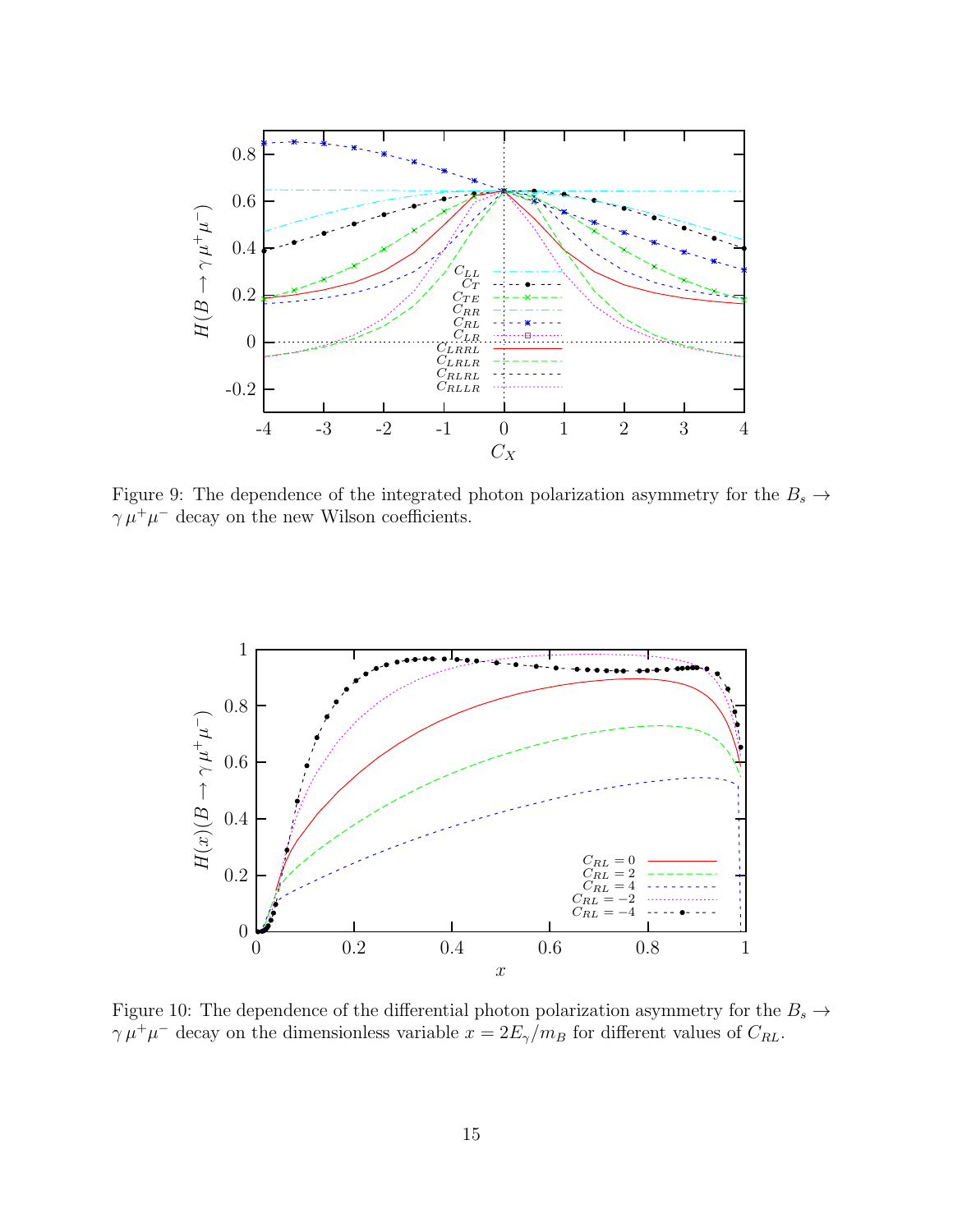

<span id="page-15-0"></span>Figure 9: The dependence of the integrated photon polarization asymmetry for the  $B_s \to$  $\gamma \mu^+ \mu^-$  decay on the new Wilson coefficients.



<span id="page-15-1"></span>Figure 10: The dependence of the differential photon polarization asymmetry for the  $B_s \to$  $\gamma \mu^+ \mu^-$  decay on the dimensionless variable  $x = 2E_\gamma/m_B$  for different values of  $C_{RL}$ .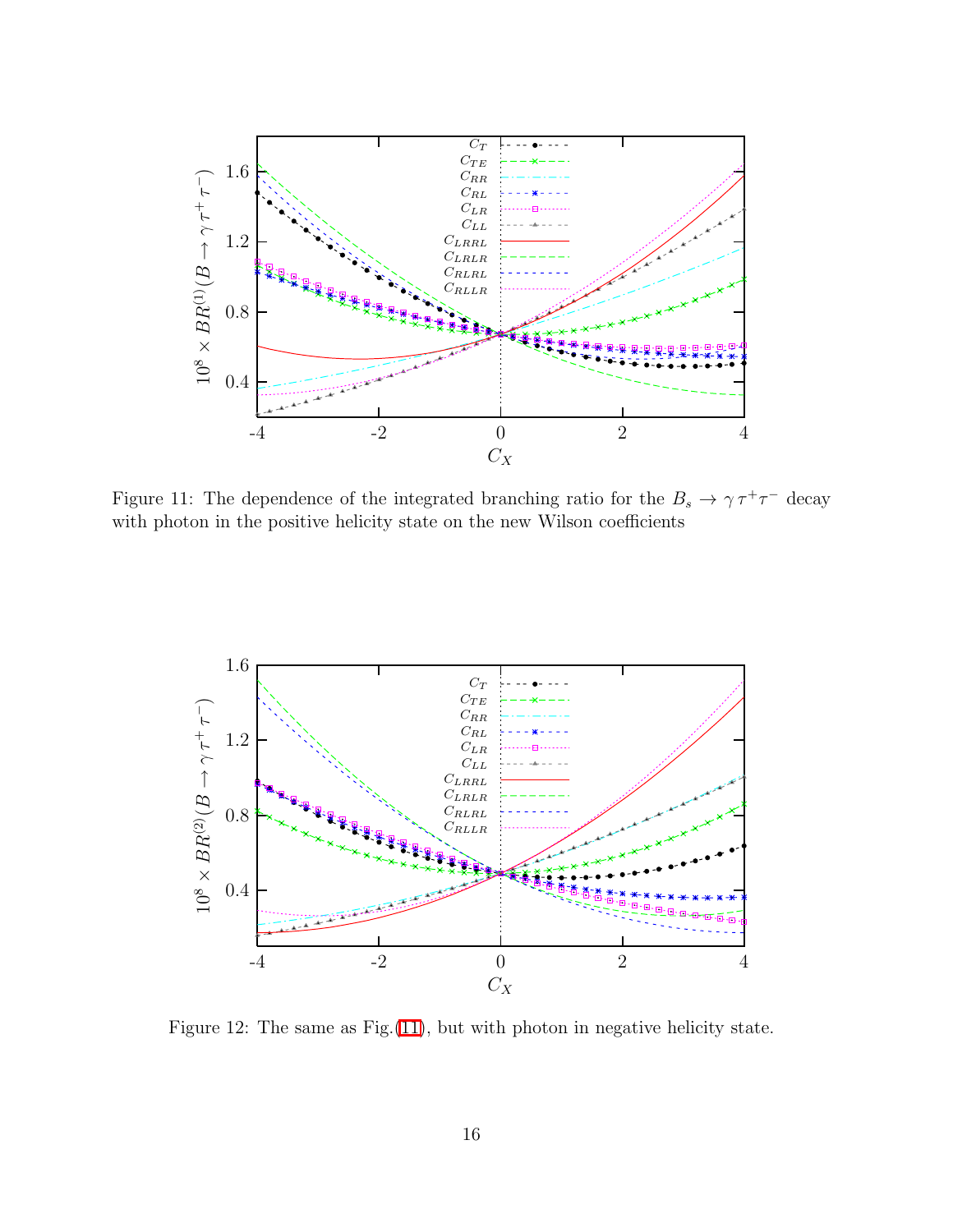

<span id="page-16-0"></span>Figure 11: The dependence of the integrated branching ratio for the  $B_s \to \gamma \tau^+ \tau^-$  decay with photon in the positive helicity state on the new Wilson coefficients



<span id="page-16-1"></span>Figure 12: The same as Fig.[\(11\)](#page-16-0), but with photon in negative helicity state.